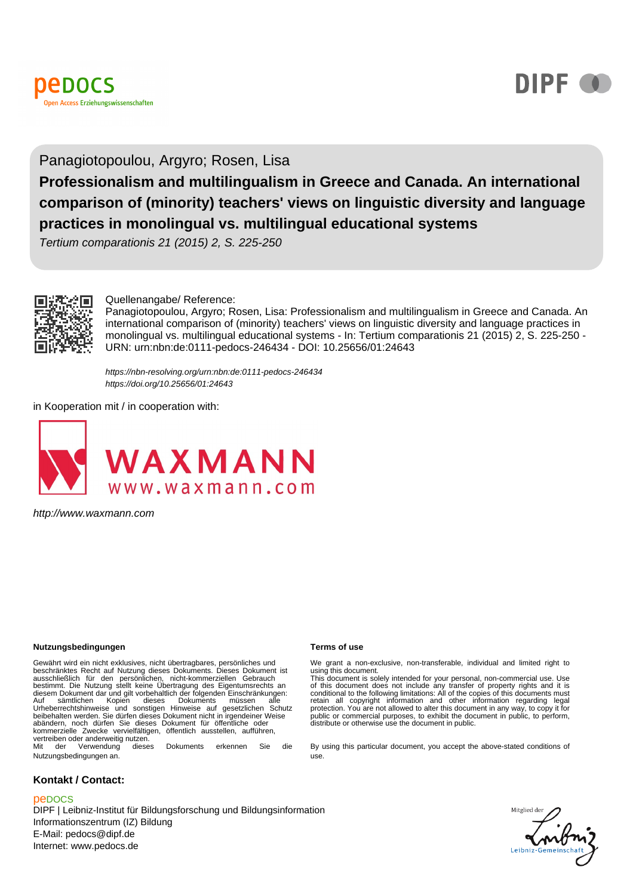



#### Panagiotopoulou, Argyro; Rosen, Lisa

**Professionalism and multilingualism in Greece and Canada. An international comparison of (minority) teachers' views on linguistic diversity and language practices in monolingual vs. multilingual educational systems**

Tertium comparationis 21 (2015) 2, S. 225-250



#### Quellenangabe/ Reference:

Panagiotopoulou, Argyro; Rosen, Lisa: Professionalism and multilingualism in Greece and Canada. An international comparison of (minority) teachers' views on linguistic diversity and language practices in monolingual vs. multilingual educational systems - In: Tertium comparationis 21 (2015) 2, S. 225-250 - URN: urn:nbn:de:0111-pedocs-246434 - DOI: 10.25656/01:24643

https://nbn-resolving.org/urn:nbn:de:0111-pedocs-246434 https://doi.org/10.25656/01:24643

in Kooperation mit / in cooperation with:



http://www.waxmann.com

#### **Nutzungsbedingungen Terms of use**

Gewährt wird ein nicht exklusives, nicht übertragbares, persönliches und beschränktes Recht auf Nutzung dieses Dokuments. Dieses Dokument ist ausschließlich für den persönlichen, nicht-kommerziellen Gebrauch bestimmt. Die Nutzung stellt keine Übertragung des Eigentumsrechts an diesem Dokument dar und gilt vorbehaltlich der folgenden Einschränkungen:<br>Auf sämtlichen Kopien dieses Dokuments müssen alle<br>Urheberrechtshinweise und sonstigen Hinweise auf gesetzlichen Sc beibehalten werden. Sie dürfen dieses Dokument nicht in irgendeiner Weise abändern, noch dürfen Sie dieses Dokument für öffentliche oder kommerzielle Zwecke vervielfältigen, öffentlich ausstellen, aufführen, vertreiben oder anderweitig nutzen<sup>.</sup><br>Mit der Verwendung diese dieses Dokuments erkennen Sie die

Nutzungsbedingungen an.

#### **Kontakt / Contact:**

#### peDOCS

DIPF | Leibniz-Institut für Bildungsforschung und Bildungsinformation Informationszentrum (IZ) Bildung E-Mail: pedocs@dipf.de Internet: www.pedocs.de

We grant a non-exclusive, non-transferable, individual and limited right to using this document. This document is solely intended for your personal, non-commercial use. Use

of this document does not include any transfer of property rights and it is<br>conditional to the following limitations: All of the copies of this documents must<br>retain all copyright information and other information regardin protection. You are not allowed to alter this document in any way, to copy it for public or commercial purposes, to exhibit the document in public, to perform, distribute or otherwise use the document in public.

By using this particular document, you accept the above-stated conditions of use.

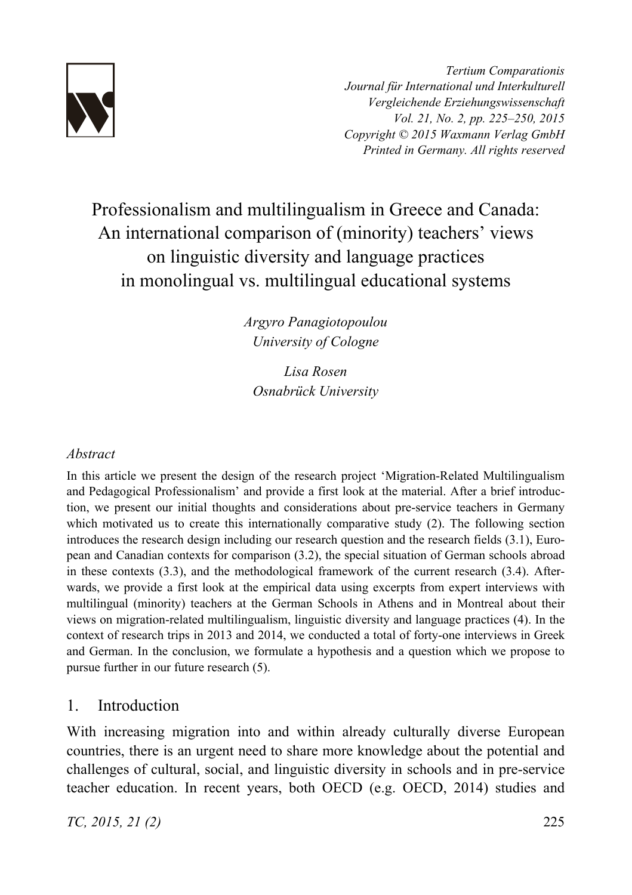

*Tertium Comparationis Journal für International und Interkulturell Vergleichende Erziehungswissenschaft Vol. 21, No. 2, pp. 225–250, 2015 Copyright © 2015 Waxmann Verlag GmbH Printed in Germany. All rights reserved*

# Professionalism and multilingualism in Greece and Canada: An international comparison of (minority) teachers' views on linguistic diversity and language practices in monolingual vs. multilingual educational systems

*Argyro Panagiotopoulou University of Cologne* 

*Lisa Rosen Osnabrück University* 

### *Abstract*

In this article we present the design of the research project 'Migration-Related Multilingualism and Pedagogical Professionalism' and provide a first look at the material. After a brief introduction, we present our initial thoughts and considerations about pre-service teachers in Germany which motivated us to create this internationally comparative study (2). The following section introduces the research design including our research question and the research fields (3.1), European and Canadian contexts for comparison (3.2), the special situation of German schools abroad in these contexts (3.3), and the methodological framework of the current research (3.4). Afterwards, we provide a first look at the empirical data using excerpts from expert interviews with multilingual (minority) teachers at the German Schools in Athens and in Montreal about their views on migration-related multilingualism, linguistic diversity and language practices (4). In the context of research trips in 2013 and 2014, we conducted a total of forty-one interviews in Greek and German. In the conclusion, we formulate a hypothesis and a question which we propose to pursue further in our future research (5).

## 1. Introduction

With increasing migration into and within already culturally diverse European countries, there is an urgent need to share more knowledge about the potential and challenges of cultural, social, and linguistic diversity in schools and in pre-service teacher education. In recent years, both OECD (e.g. OECD, 2014) studies and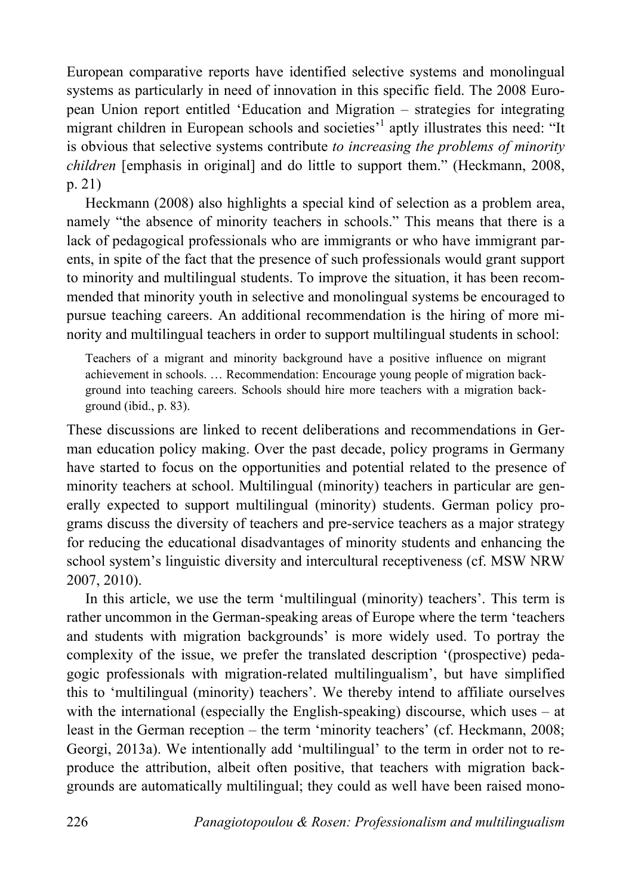European comparative reports have identified selective systems and monolingual systems as particularly in need of innovation in this specific field. The 2008 European Union report entitled 'Education and Migration – strategies for integrating migrant children in European schools and societies<sup>,1</sup> aptly illustrates this need: "It is obvious that selective systems contribute *to increasing the problems of minority children* [emphasis in original] and do little to support them." (Heckmann, 2008, p. 21)

Heckmann (2008) also highlights a special kind of selection as a problem area, namely "the absence of minority teachers in schools." This means that there is a lack of pedagogical professionals who are immigrants or who have immigrant parents, in spite of the fact that the presence of such professionals would grant support to minority and multilingual students. To improve the situation, it has been recommended that minority youth in selective and monolingual systems be encouraged to pursue teaching careers. An additional recommendation is the hiring of more minority and multilingual teachers in order to support multilingual students in school:

Teachers of a migrant and minority background have a positive influence on migrant achievement in schools. … Recommendation: Encourage young people of migration background into teaching careers. Schools should hire more teachers with a migration background (ibid., p. 83).

These discussions are linked to recent deliberations and recommendations in German education policy making. Over the past decade, policy programs in Germany have started to focus on the opportunities and potential related to the presence of minority teachers at school. Multilingual (minority) teachers in particular are generally expected to support multilingual (minority) students. German policy programs discuss the diversity of teachers and pre-service teachers as a major strategy for reducing the educational disadvantages of minority students and enhancing the school system's linguistic diversity and intercultural receptiveness (cf. MSW NRW 2007, 2010).

In this article, we use the term 'multilingual (minority) teachers'. This term is rather uncommon in the German-speaking areas of Europe where the term 'teachers and students with migration backgrounds' is more widely used. To portray the complexity of the issue, we prefer the translated description '(prospective) pedagogic professionals with migration-related multilingualism', but have simplified this to 'multilingual (minority) teachers'. We thereby intend to affiliate ourselves with the international (especially the English-speaking) discourse, which uses – at least in the German reception – the term 'minority teachers' (cf. Heckmann, 2008; Georgi, 2013a). We intentionally add 'multilingual' to the term in order not to reproduce the attribution, albeit often positive, that teachers with migration backgrounds are automatically multilingual; they could as well have been raised mono-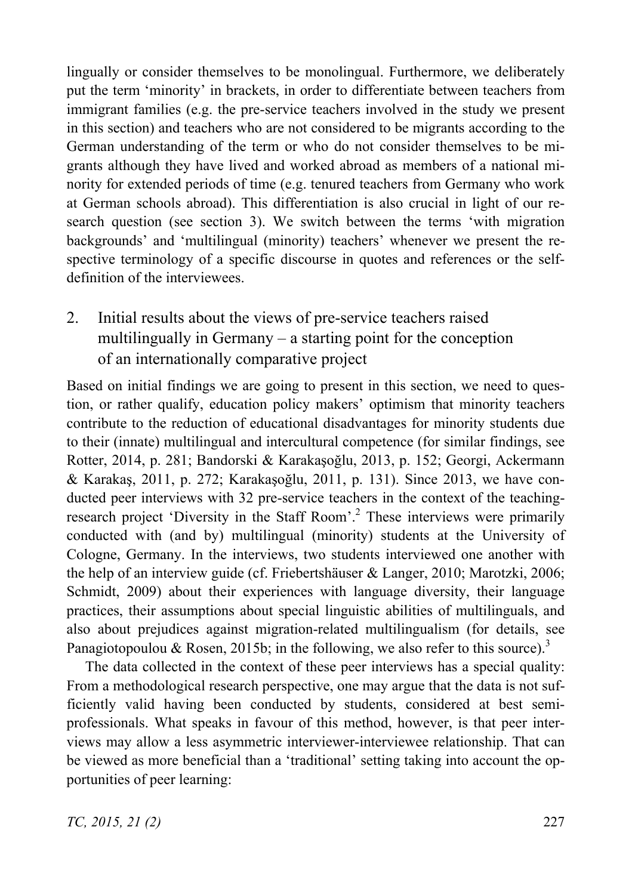lingually or consider themselves to be monolingual. Furthermore, we deliberately put the term 'minority' in brackets, in order to differentiate between teachers from immigrant families (e.g. the pre-service teachers involved in the study we present in this section) and teachers who are not considered to be migrants according to the German understanding of the term or who do not consider themselves to be migrants although they have lived and worked abroad as members of a national minority for extended periods of time (e.g. tenured teachers from Germany who work at German schools abroad). This differentiation is also crucial in light of our research question (see section 3). We switch between the terms 'with migration backgrounds' and 'multilingual (minority) teachers' whenever we present the respective terminology of a specific discourse in quotes and references or the selfdefinition of the interviewees.

2. Initial results about the views of pre-service teachers raised multilingually in Germany – a starting point for the conception of an internationally comparative project

Based on initial findings we are going to present in this section, we need to question, or rather qualify, education policy makers' optimism that minority teachers contribute to the reduction of educational disadvantages for minority students due to their (innate) multilingual and intercultural competence (for similar findings, see Rotter, 2014, p. 281; Bandorski & Karakasoğlu, 2013, p. 152; Georgi, Ackermann & Karakaş, 2011, p. 272; Karakaşoğlu, 2011, p. 131). Since 2013, we have conducted peer interviews with 32 pre-service teachers in the context of the teachingresearch project 'Diversity in the Staff Room'.<sup>2</sup> These interviews were primarily conducted with (and by) multilingual (minority) students at the University of Cologne, Germany. In the interviews, two students interviewed one another with the help of an interview guide (cf. Friebertshäuser & Langer, 2010; Marotzki, 2006; Schmidt, 2009) about their experiences with language diversity, their language practices, their assumptions about special linguistic abilities of multilinguals, and also about prejudices against migration-related multilingualism (for details, see Panagiotopoulou & Rosen, 2015b; in the following, we also refer to this source).<sup>3</sup>

The data collected in the context of these peer interviews has a special quality: From a methodological research perspective, one may argue that the data is not sufficiently valid having been conducted by students, considered at best semiprofessionals. What speaks in favour of this method, however, is that peer interviews may allow a less asymmetric interviewer-interviewee relationship. That can be viewed as more beneficial than a 'traditional' setting taking into account the opportunities of peer learning: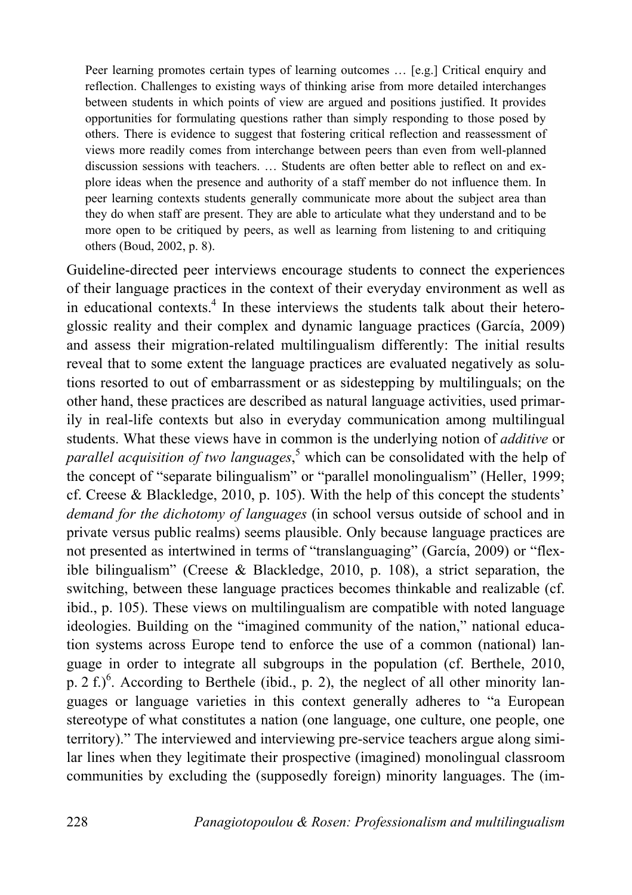Peer learning promotes certain types of learning outcomes … [e.g.] Critical enquiry and reflection. Challenges to existing ways of thinking arise from more detailed interchanges between students in which points of view are argued and positions justified. It provides opportunities for formulating questions rather than simply responding to those posed by others. There is evidence to suggest that fostering critical reflection and reassessment of views more readily comes from interchange between peers than even from well-planned discussion sessions with teachers. … Students are often better able to reflect on and explore ideas when the presence and authority of a staff member do not influence them. In peer learning contexts students generally communicate more about the subject area than they do when staff are present. They are able to articulate what they understand and to be more open to be critiqued by peers, as well as learning from listening to and critiquing others (Boud, 2002, p. 8).

Guideline-directed peer interviews encourage students to connect the experiences of their language practices in the context of their everyday environment as well as in educational contexts.<sup>4</sup> In these interviews the students talk about their heteroglossic reality and their complex and dynamic language practices (García, 2009) and assess their migration-related multilingualism differently: The initial results reveal that to some extent the language practices are evaluated negatively as solutions resorted to out of embarrassment or as sidestepping by multilinguals; on the other hand, these practices are described as natural language activities, used primarily in real-life contexts but also in everyday communication among multilingual students. What these views have in common is the underlying notion of *additive* or parallel acquisition of two languages,<sup>5</sup> which can be consolidated with the help of the concept of "separate bilingualism" or "parallel monolingualism" (Heller, 1999; cf. Creese  $\&$  Blackledge, 2010, p. 105). With the help of this concept the students' *demand for the dichotomy of languages* (in school versus outside of school and in private versus public realms) seems plausible. Only because language practices are not presented as intertwined in terms of "translanguaging" (García, 2009) or "flexible bilingualism" (Creese & Blackledge, 2010, p. 108), a strict separation, the switching, between these language practices becomes thinkable and realizable (cf. ibid., p. 105). These views on multilingualism are compatible with noted language ideologies. Building on the "imagined community of the nation," national education systems across Europe tend to enforce the use of a common (national) language in order to integrate all subgroups in the population (cf. Berthele, 2010, p.  $2 f$ .)<sup>6</sup>. According to Berthele (ibid., p. 2), the neglect of all other minority languages or language varieties in this context generally adheres to "a European stereotype of what constitutes a nation (one language, one culture, one people, one territory)." The interviewed and interviewing pre-service teachers argue along similar lines when they legitimate their prospective (imagined) monolingual classroom communities by excluding the (supposedly foreign) minority languages. The (im-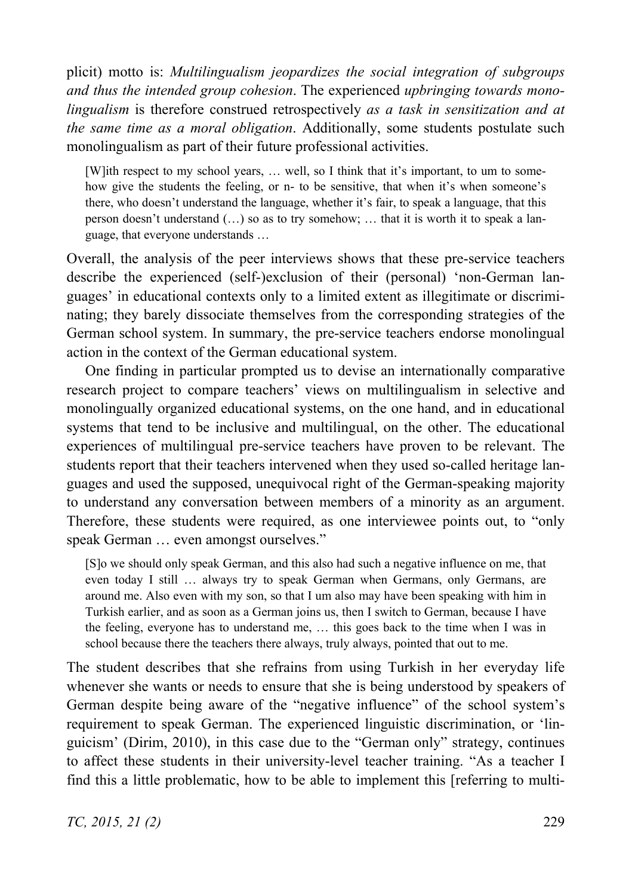plicit) motto is: *Multilingualism jeopardizes the social integration of subgroups and thus the intended group cohesion*. The experienced *upbringing towards monolingualism* is therefore construed retrospectively *as a task in sensitization and at the same time as a moral obligation*. Additionally, some students postulate such monolingualism as part of their future professional activities.

[W]ith respect to my school years, … well, so I think that it's important, to um to somehow give the students the feeling, or n- to be sensitive, that when it's when someone's there, who doesn't understand the language, whether it's fair, to speak a language, that this person doesn't understand (…) so as to try somehow; … that it is worth it to speak a language, that everyone understands …

Overall, the analysis of the peer interviews shows that these pre-service teachers describe the experienced (self-)exclusion of their (personal) 'non-German languages' in educational contexts only to a limited extent as illegitimate or discriminating; they barely dissociate themselves from the corresponding strategies of the German school system. In summary, the pre-service teachers endorse monolingual action in the context of the German educational system.

One finding in particular prompted us to devise an internationally comparative research project to compare teachers' views on multilingualism in selective and monolingually organized educational systems, on the one hand, and in educational systems that tend to be inclusive and multilingual, on the other. The educational experiences of multilingual pre-service teachers have proven to be relevant. The students report that their teachers intervened when they used so-called heritage languages and used the supposed, unequivocal right of the German-speaking majority to understand any conversation between members of a minority as an argument. Therefore, these students were required, as one interviewee points out, to "only speak German … even amongst ourselves."

[S]o we should only speak German, and this also had such a negative influence on me, that even today I still … always try to speak German when Germans, only Germans, are around me. Also even with my son, so that I um also may have been speaking with him in Turkish earlier, and as soon as a German joins us, then I switch to German, because I have the feeling, everyone has to understand me, … this goes back to the time when I was in school because there the teachers there always, truly always, pointed that out to me.

The student describes that she refrains from using Turkish in her everyday life whenever she wants or needs to ensure that she is being understood by speakers of German despite being aware of the "negative influence" of the school system's requirement to speak German. The experienced linguistic discrimination, or 'linguicism' (Dirim, 2010), in this case due to the "German only" strategy, continues to affect these students in their university-level teacher training. "As a teacher I find this a little problematic, how to be able to implement this [referring to multi-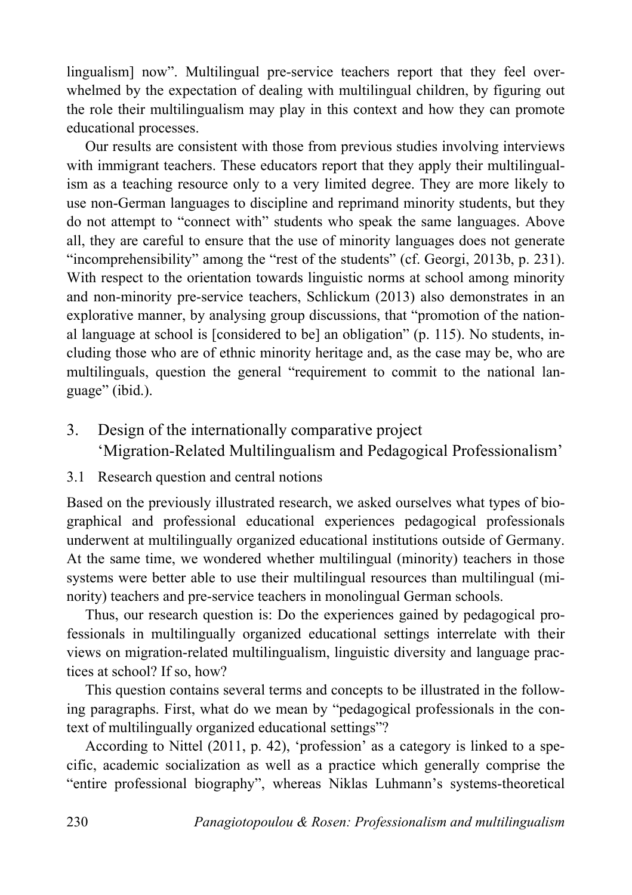lingualism] now". Multilingual pre-service teachers report that they feel overwhelmed by the expectation of dealing with multilingual children, by figuring out the role their multilingualism may play in this context and how they can promote educational processes.

Our results are consistent with those from previous studies involving interviews with immigrant teachers. These educators report that they apply their multilingualism as a teaching resource only to a very limited degree. They are more likely to use non-German languages to discipline and reprimand minority students, but they do not attempt to "connect with" students who speak the same languages. Above all, they are careful to ensure that the use of minority languages does not generate "incomprehensibility" among the "rest of the students" (cf. Georgi, 2013b, p. 231). With respect to the orientation towards linguistic norms at school among minority and non-minority pre-service teachers, Schlickum (2013) also demonstrates in an explorative manner, by analysing group discussions, that "promotion of the national language at school is [considered to be] an obligation" (p. 115). No students, including those who are of ethnic minority heritage and, as the case may be, who are multilinguals, question the general "requirement to commit to the national language" (ibid.).

- 3. Design of the internationally comparative project 'Migration-Related Multilingualism and Pedagogical Professionalism'
- 3.1 Research question and central notions

Based on the previously illustrated research, we asked ourselves what types of biographical and professional educational experiences pedagogical professionals underwent at multilingually organized educational institutions outside of Germany. At the same time, we wondered whether multilingual (minority) teachers in those systems were better able to use their multilingual resources than multilingual (minority) teachers and pre-service teachers in monolingual German schools.

Thus, our research question is: Do the experiences gained by pedagogical professionals in multilingually organized educational settings interrelate with their views on migration-related multilingualism, linguistic diversity and language practices at school? If so, how?

This question contains several terms and concepts to be illustrated in the following paragraphs. First, what do we mean by "pedagogical professionals in the context of multilingually organized educational settings"?

According to Nittel (2011, p. 42), 'profession' as a category is linked to a specific, academic socialization as well as a practice which generally comprise the "entire professional biography", whereas Niklas Luhmann's systems-theoretical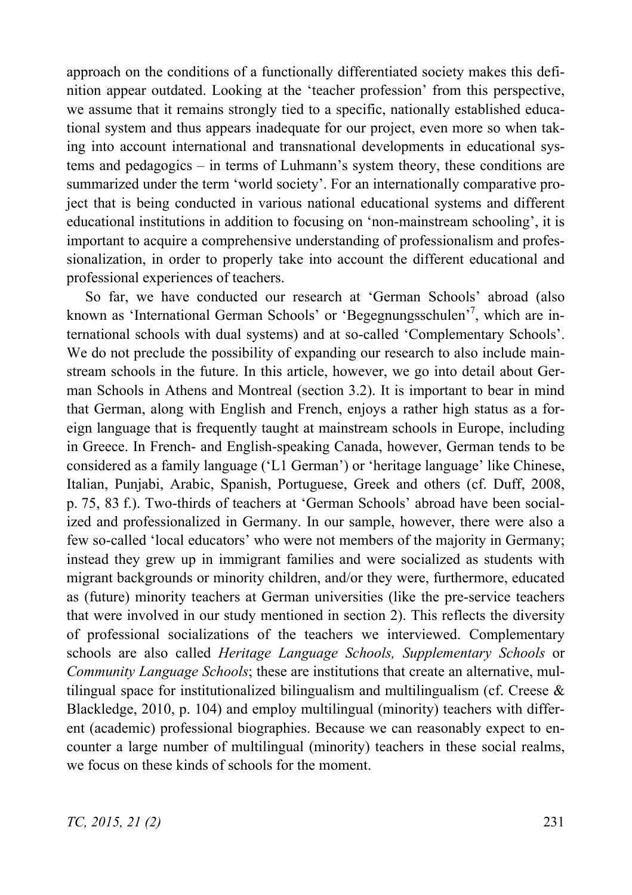approach on the conditions of a functionally differentiated society makes this definition appear outdated. Looking at the 'teacher profession' from this perspective, we assume that it remains strongly tied to a specific, nationally established educational system and thus appears inadequate for our project, even more so when taking into account international and transnational developments in educational systems and pedagogics – in terms of Luhmann's system theory, these conditions are summarized under the term 'world society'. For an internationally comparative project that is being conducted in various national educational systems and different educational institutions in addition to focusing on 'non-mainstream schooling', it is important to acquire a comprehensive understanding of professionalism and professionalization, in order to properly take into account the different educational and professional experiences of teachers.

So far, we have conducted our research at 'German Schools' abroad (also known as 'International German Schools' or 'Begegnungsschulen'<sup>7</sup>, which are international schools with dual systems) and at so-called 'Complementary Schools'. We do not preclude the possibility of expanding our research to also include mainstream schools in the future. In this article, however, we go into detail about German Schools in Athens and Montreal (section 3.2). It is important to bear in mind that German, along with English and French, enjoys a rather high status as a foreign language that is frequently taught at mainstream schools in Europe, including in Greece. In French- and English-speaking Canada, however, German tends to be considered as a family language ('L1 German') or 'heritage language' like Chinese, Italian, Punjabi, Arabic, Spanish, Portuguese, Greek and others (cf. Duff, 2008, p. 75, 83 f.). Two-thirds of teachers at 'German Schools' abroad have been socialized and professionalized in Germany. In our sample, however, there were also a few so-called 'local educators' who were not members of the majority in Germany; instead they grew up in immigrant families and were socialized as students with migrant backgrounds or minority children, and/or they were, furthermore, educated as (future) minority teachers at German universities (like the pre-service teachers that were involved in our study mentioned in section 2). This reflects the diversity of professional socializations of the teachers we interviewed. Complementary schools are also called *Heritage Language Schools, Supplementary Schools* or *Community Language Schools*; these are institutions that create an alternative, multilingual space for institutionalized bilingualism and multilingualism (cf. Creese  $\&$ Blackledge, 2010, p. 104) and employ multilingual (minority) teachers with different (academic) professional biographies. Because we can reasonably expect to encounter a large number of multilingual (minority) teachers in these social realms, we focus on these kinds of schools for the moment.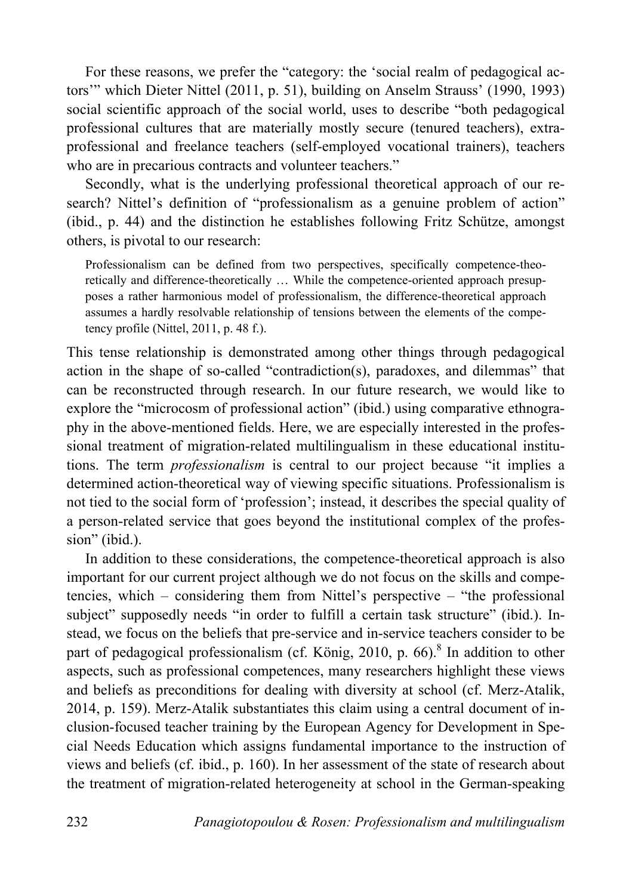For these reasons, we prefer the "category: the 'social realm of pedagogical actors" which Dieter Nittel (2011, p. 51), building on Anselm Strauss' (1990, 1993) social scientific approach of the social world, uses to describe "both pedagogical professional cultures that are materially mostly secure (tenured teachers), extraprofessional and freelance teachers (self-employed vocational trainers), teachers who are in precarious contracts and volunteer teachers."

Secondly, what is the underlying professional theoretical approach of our research? Nittel's definition of "professionalism as a genuine problem of action" (ibid., p. 44) and the distinction he establishes following Fritz Schütze, amongst others, is pivotal to our research:

Professionalism can be defined from two perspectives, specifically competence-theoretically and difference-theoretically … While the competence-oriented approach presupposes a rather harmonious model of professionalism, the difference-theoretical approach assumes a hardly resolvable relationship of tensions between the elements of the competency profile (Nittel, 2011, p. 48 f.).

This tense relationship is demonstrated among other things through pedagogical action in the shape of so-called "contradiction(s), paradoxes, and dilemmas" that can be reconstructed through research. In our future research, we would like to explore the "microcosm of professional action" (ibid.) using comparative ethnography in the above-mentioned fields. Here, we are especially interested in the professional treatment of migration-related multilingualism in these educational institutions. The term *professionalism* is central to our project because "it implies a determined action-theoretical way of viewing specific situations. Professionalism is not tied to the social form of 'profession'; instead, it describes the special quality of a person-related service that goes beyond the institutional complex of the profession" (ibid.).

In addition to these considerations, the competence-theoretical approach is also important for our current project although we do not focus on the skills and competencies, which – considering them from Nittel's perspective – "the professional subject" supposedly needs "in order to fulfill a certain task structure" (ibid.). Instead, we focus on the beliefs that pre-service and in-service teachers consider to be part of pedagogical professionalism (cf. König, 2010, p. 66).<sup>8</sup> In addition to other aspects, such as professional competences, many researchers highlight these views and beliefs as preconditions for dealing with diversity at school (cf. Merz-Atalik, 2014, p. 159). Merz-Atalik substantiates this claim using a central document of inclusion-focused teacher training by the European Agency for Development in Special Needs Education which assigns fundamental importance to the instruction of views and beliefs (cf. ibid., p. 160). In her assessment of the state of research about the treatment of migration-related heterogeneity at school in the German-speaking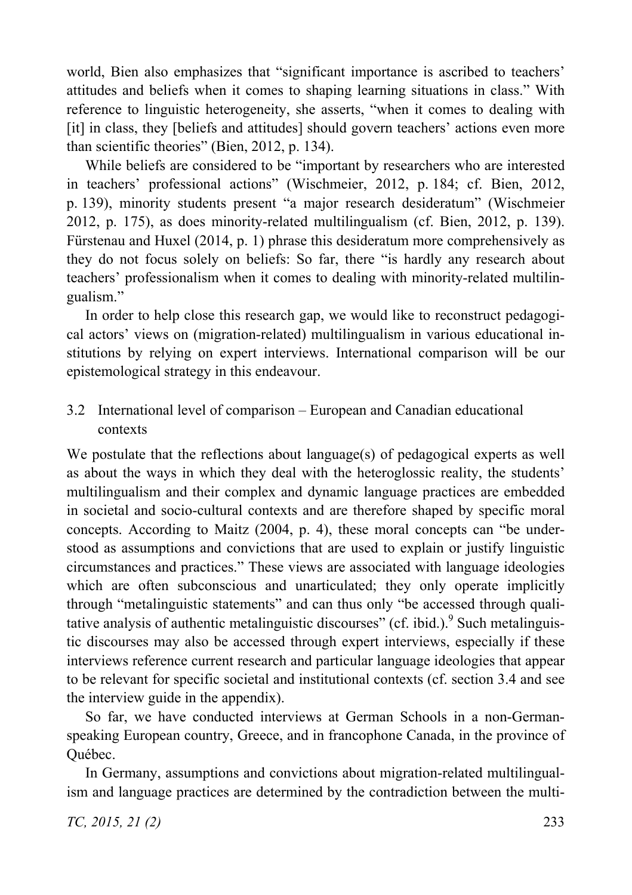world, Bien also emphasizes that "significant importance is ascribed to teachers' attitudes and beliefs when it comes to shaping learning situations in class." With reference to linguistic heterogeneity, she asserts, "when it comes to dealing with [it] in class, they [beliefs and attitudes] should govern teachers' actions even more than scientific theories" (Bien, 2012, p. 134).

While beliefs are considered to be "important by researchers who are interested in teachers' professional actions" (Wischmeier, 2012, p. 184; cf. Bien, 2012, p. 139), minority students present "a major research desideratum" (Wischmeier 2012, p. 175), as does minority-related multilingualism (cf. Bien, 2012, p. 139). Fürstenau and Huxel (2014, p. 1) phrase this desideratum more comprehensively as they do not focus solely on beliefs: So far, there "is hardly any research about teachers' professionalism when it comes to dealing with minority-related multilingualism."

In order to help close this research gap, we would like to reconstruct pedagogical actors' views on (migration-related) multilingualism in various educational institutions by relying on expert interviews. International comparison will be our epistemological strategy in this endeavour.

3.2 International level of comparison – European and Canadian educational contexts

We postulate that the reflections about language(s) of pedagogical experts as well as about the ways in which they deal with the heteroglossic reality, the students' multilingualism and their complex and dynamic language practices are embedded in societal and socio-cultural contexts and are therefore shaped by specific moral concepts. According to Maitz (2004, p. 4), these moral concepts can "be understood as assumptions and convictions that are used to explain or justify linguistic circumstances and practices." These views are associated with language ideologies which are often subconscious and unarticulated; they only operate implicitly through "metalinguistic statements" and can thus only "be accessed through qualitative analysis of authentic metalinguistic discourses" (cf. ibid.). Such metalinguistic discourses may also be accessed through expert interviews, especially if these interviews reference current research and particular language ideologies that appear to be relevant for specific societal and institutional contexts (cf. section 3.4 and see the interview guide in the appendix).

So far, we have conducted interviews at German Schools in a non-Germanspeaking European country, Greece, and in francophone Canada, in the province of Québec.

In Germany, assumptions and convictions about migration-related multilingualism and language practices are determined by the contradiction between the multi-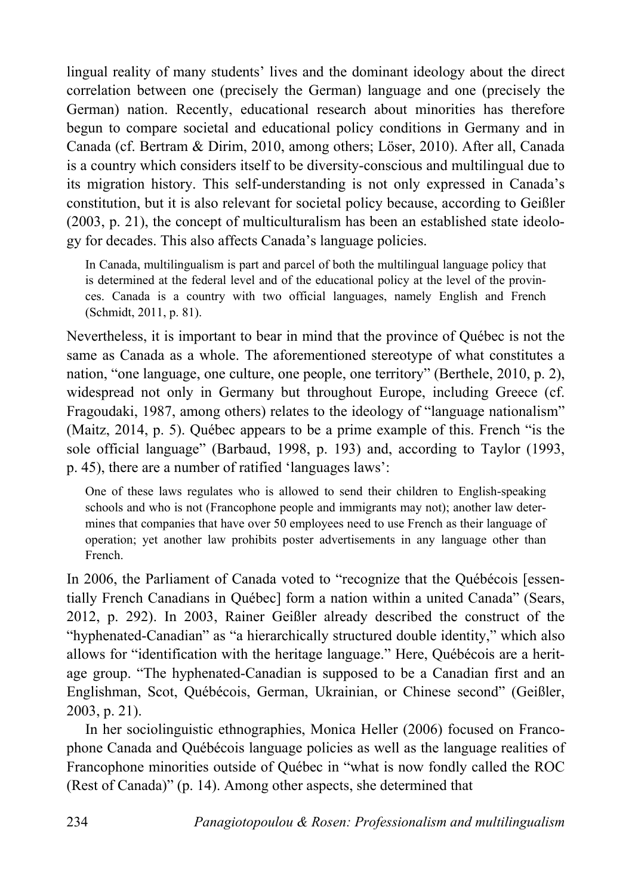lingual reality of many students' lives and the dominant ideology about the direct correlation between one (precisely the German) language and one (precisely the German) nation. Recently, educational research about minorities has therefore begun to compare societal and educational policy conditions in Germany and in Canada (cf. Bertram & Dirim, 2010, among others; Löser, 2010). After all, Canada is a country which considers itself to be diversity-conscious and multilingual due to its migration history. This self-understanding is not only expressed in Canada's constitution, but it is also relevant for societal policy because, according to Geißler (2003, p. 21), the concept of multiculturalism has been an established state ideology for decades. This also affects Canada's language policies.

In Canada, multilingualism is part and parcel of both the multilingual language policy that is determined at the federal level and of the educational policy at the level of the provinces. Canada is a country with two official languages, namely English and French (Schmidt, 2011, p. 81).

Nevertheless, it is important to bear in mind that the province of Québec is not the same as Canada as a whole. The aforementioned stereotype of what constitutes a nation, "one language, one culture, one people, one territory" (Berthele, 2010, p. 2), widespread not only in Germany but throughout Europe, including Greece (cf. Fragoudaki, 1987, among others) relates to the ideology of "language nationalism" (Maitz, 2014, p. 5). Québec appears to be a prime example of this. French "is the sole official language" (Barbaud, 1998, p. 193) and, according to Taylor (1993, p. 45), there are a number of ratified 'languages laws':

One of these laws regulates who is allowed to send their children to English-speaking schools and who is not (Francophone people and immigrants may not); another law determines that companies that have over 50 employees need to use French as their language of operation; yet another law prohibits poster advertisements in any language other than French.

In 2006, the Parliament of Canada voted to "recognize that the Québécois [essentially French Canadians in Québec] form a nation within a united Canada" (Sears, 2012, p. 292). In 2003, Rainer Geißler already described the construct of the "hyphenated-Canadian" as "a hierarchically structured double identity," which also allows for "identification with the heritage language." Here, Québécois are a heritage group. "The hyphenated-Canadian is supposed to be a Canadian first and an Englishman, Scot, Québécois, German, Ukrainian, or Chinese second" (Geißler, 2003, p. 21).

In her sociolinguistic ethnographies, Monica Heller (2006) focused on Francophone Canada and Québécois language policies as well as the language realities of Francophone minorities outside of Québec in "what is now fondly called the ROC (Rest of Canada)" (p. 14). Among other aspects, she determined that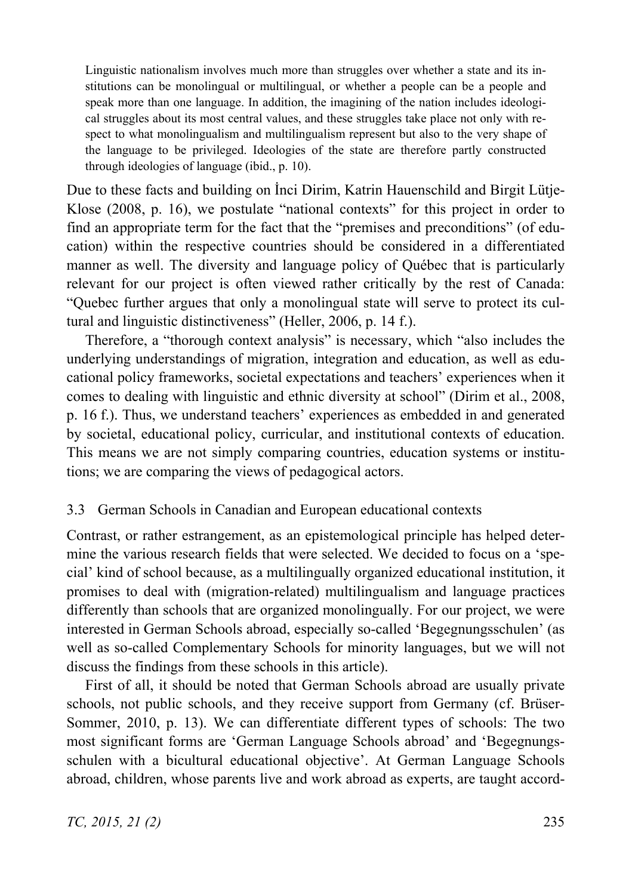Linguistic nationalism involves much more than struggles over whether a state and its institutions can be monolingual or multilingual, or whether a people can be a people and speak more than one language. In addition, the imagining of the nation includes ideological struggles about its most central values, and these struggles take place not only with respect to what monolingualism and multilingualism represent but also to the very shape of the language to be privileged. Ideologies of the state are therefore partly constructed through ideologies of language (ibid., p. 10).

Due to these facts and building on Inci Dirim, Katrin Hauenschild and Birgit Lütje-Klose (2008, p. 16), we postulate "national contexts" for this project in order to find an appropriate term for the fact that the "premises and preconditions" (of education) within the respective countries should be considered in a differentiated manner as well. The diversity and language policy of Québec that is particularly relevant for our project is often viewed rather critically by the rest of Canada: "Quebec further argues that only a monolingual state will serve to protect its cultural and linguistic distinctiveness" (Heller, 2006, p. 14 f.).

Therefore, a "thorough context analysis" is necessary, which "also includes the underlying understandings of migration, integration and education, as well as educational policy frameworks, societal expectations and teachers' experiences when it comes to dealing with linguistic and ethnic diversity at school" (Dirim et al., 2008, p. 16 f.). Thus, we understand teachers' experiences as embedded in and generated by societal, educational policy, curricular, and institutional contexts of education. This means we are not simply comparing countries, education systems or institutions; we are comparing the views of pedagogical actors.

## 3.3 German Schools in Canadian and European educational contexts

Contrast, or rather estrangement, as an epistemological principle has helped determine the various research fields that were selected. We decided to focus on a 'special' kind of school because, as a multilingually organized educational institution, it promises to deal with (migration-related) multilingualism and language practices differently than schools that are organized monolingually. For our project, we were interested in German Schools abroad, especially so-called 'Begegnungsschulen' (as well as so-called Complementary Schools for minority languages, but we will not discuss the findings from these schools in this article).

First of all, it should be noted that German Schools abroad are usually private schools, not public schools, and they receive support from Germany (cf. Brüser-Sommer, 2010, p. 13). We can differentiate different types of schools: The two most significant forms are 'German Language Schools abroad' and 'Begegnungsschulen with a bicultural educational objective'. At German Language Schools abroad, children, whose parents live and work abroad as experts, are taught accord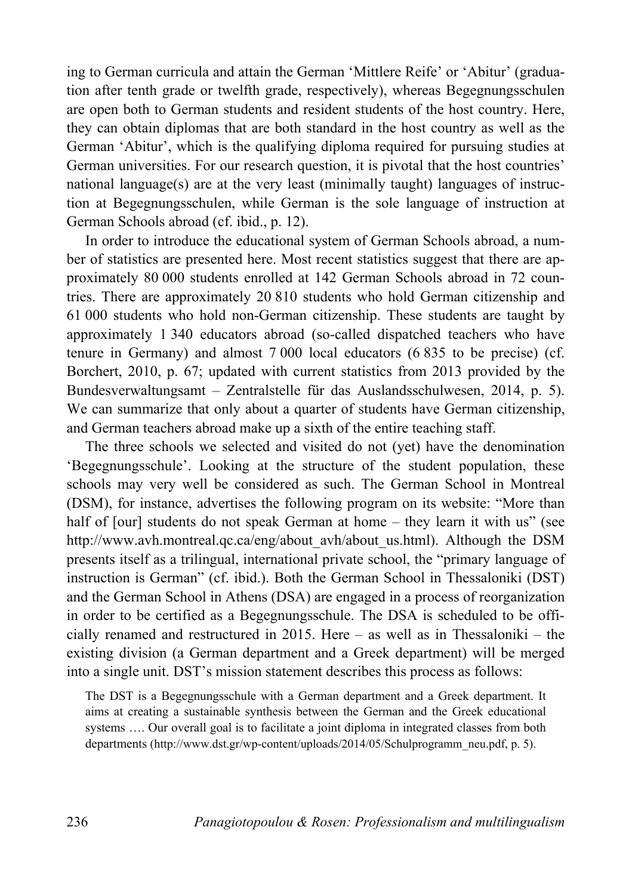ing to German curricula and attain the German 'Mittlere Reife' or 'Abitur' (graduation after tenth grade or twelfth grade, respectively), whereas Begegnungsschulen are open both to German students and resident students of the host country. Here, they can obtain diplomas that are both standard in the host country as well as the German 'Abitur', which is the qualifying diploma required for pursuing studies at German universities. For our research question, it is pivotal that the host countries' national language(s) are at the very least (minimally taught) languages of instruction at Begegnungsschulen, while German is the sole language of instruction at German Schools abroad (cf. ibid., p. 12).

In order to introduce the educational system of German Schools abroad, a number of statistics are presented here. Most recent statistics suggest that there are approximately 80 000 students enrolled at 142 German Schools abroad in 72 countries. There are approximately 20 810 students who hold German citizenship and 61 000 students who hold non-German citizenship. These students are taught by approximately 1 340 educators abroad (so-called dispatched teachers who have tenure in Germany) and almost 7 000 local educators (6 835 to be precise) (cf. Borchert, 2010, p. 67; updated with current statistics from 2013 provided by the Bundesverwaltungsamt – Zentralstelle für das Auslandsschulwesen, 2014, p. 5). We can summarize that only about a quarter of students have German citizenship, and German teachers abroad make up a sixth of the entire teaching staff.

The three schools we selected and visited do not (yet) have the denomination 'Begegnungsschule'. Looking at the structure of the student population, these schools may very well be considered as such. The German School in Montreal (DSM), for instance, advertises the following program on its website: "More than half of [our] students do not speak German at home – they learn it with us" (see http://www.avh.montreal.qc.ca/eng/about\_avh/about\_us.html). Although the DSM presents itself as a trilingual, international private school, the "primary language of instruction is German" (cf. ibid.). Both the German School in Thessaloniki (DST) and the German School in Athens (DSA) are engaged in a process of reorganization in order to be certified as a Begegnungsschule. The DSA is scheduled to be officially renamed and restructured in 2015. Here – as well as in Thessaloniki – the existing division (a German department and a Greek department) will be merged into a single unit. DST's mission statement describes this process as follows:

The DST is a Begegnungsschule with a German department and a Greek department. It aims at creating a sustainable synthesis between the German and the Greek educational systems …. Our overall goal is to facilitate a joint diploma in integrated classes from both departments (http://www.dst.gr/wp-content/uploads/2014/05/Schulprogramm\_neu.pdf, p. 5).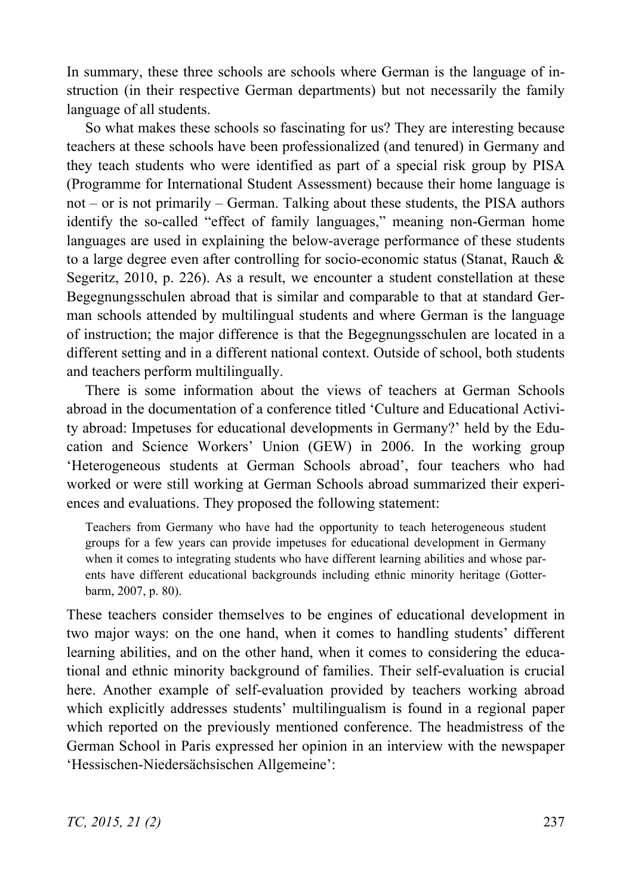In summary, these three schools are schools where German is the language of instruction (in their respective German departments) but not necessarily the family language of all students.

So what makes these schools so fascinating for us? They are interesting because teachers at these schools have been professionalized (and tenured) in Germany and they teach students who were identified as part of a special risk group by PISA (Programme for International Student Assessment) because their home language is not – or is not primarily – German. Talking about these students, the PISA authors identify the so-called "effect of family languages," meaning non-German home languages are used in explaining the below-average performance of these students to a large degree even after controlling for socio-economic status (Stanat, Rauch  $\&$ Segeritz, 2010, p. 226). As a result, we encounter a student constellation at these Begegnungsschulen abroad that is similar and comparable to that at standard German schools attended by multilingual students and where German is the language of instruction; the major difference is that the Begegnungsschulen are located in a different setting and in a different national context. Outside of school, both students and teachers perform multilingually.

There is some information about the views of teachers at German Schools abroad in the documentation of a conference titled 'Culture and Educational Activity abroad: Impetuses for educational developments in Germany?' held by the Education and Science Workers' Union (GEW) in 2006. In the working group 'Heterogeneous students at German Schools abroad', four teachers who had worked or were still working at German Schools abroad summarized their experiences and evaluations. They proposed the following statement:

Teachers from Germany who have had the opportunity to teach heterogeneous student groups for a few years can provide impetuses for educational development in Germany when it comes to integrating students who have different learning abilities and whose parents have different educational backgrounds including ethnic minority heritage (Gotterbarm, 2007, p. 80).

These teachers consider themselves to be engines of educational development in two major ways: on the one hand, when it comes to handling students' different learning abilities, and on the other hand, when it comes to considering the educational and ethnic minority background of families. Their self-evaluation is crucial here. Another example of self-evaluation provided by teachers working abroad which explicitly addresses students' multilingualism is found in a regional paper which reported on the previously mentioned conference. The headmistress of the German School in Paris expressed her opinion in an interview with the newspaper 'Hessischen-Niedersächsischen Allgemeine':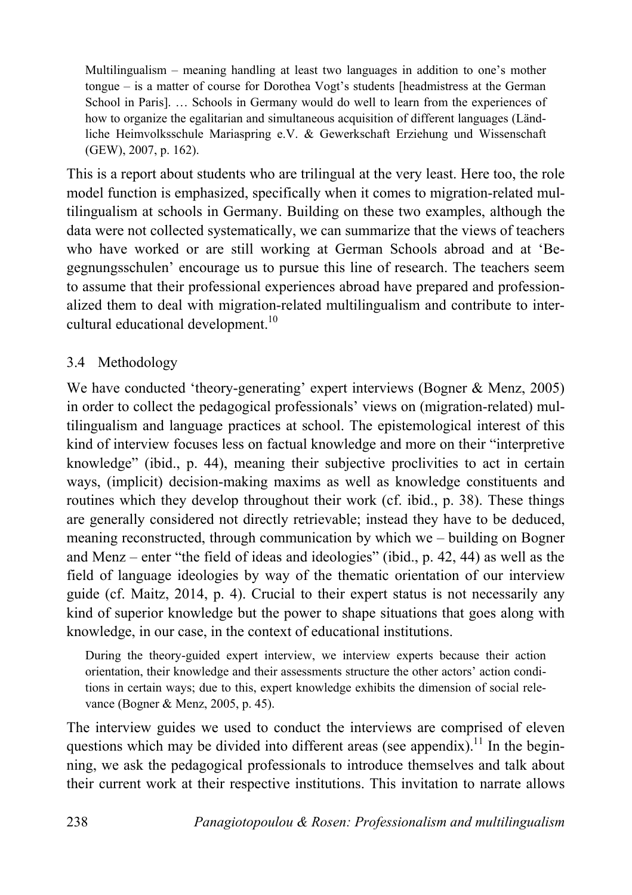Multilingualism – meaning handling at least two languages in addition to one's mother tongue – is a matter of course for Dorothea Vogt's students [headmistress at the German School in Paris]. … Schools in Germany would do well to learn from the experiences of how to organize the egalitarian and simultaneous acquisition of different languages (Ländliche Heimvolksschule Mariaspring e.V. & Gewerkschaft Erziehung und Wissenschaft (GEW), 2007, p. 162).

This is a report about students who are trilingual at the very least. Here too, the role model function is emphasized, specifically when it comes to migration-related multilingualism at schools in Germany. Building on these two examples, although the data were not collected systematically, we can summarize that the views of teachers who have worked or are still working at German Schools abroad and at 'Begegnungsschulen' encourage us to pursue this line of research. The teachers seem to assume that their professional experiences abroad have prepared and professionalized them to deal with migration-related multilingualism and contribute to intercultural educational development.<sup>10</sup>

## 3.4 Methodology

We have conducted 'theory-generating' expert interviews (Bogner & Menz, 2005) in order to collect the pedagogical professionals' views on (migration-related) multilingualism and language practices at school. The epistemological interest of this kind of interview focuses less on factual knowledge and more on their "interpretive knowledge" (ibid., p. 44), meaning their subjective proclivities to act in certain ways, (implicit) decision-making maxims as well as knowledge constituents and routines which they develop throughout their work (cf. ibid., p. 38). These things are generally considered not directly retrievable; instead they have to be deduced, meaning reconstructed, through communication by which we – building on Bogner and Menz – enter "the field of ideas and ideologies" (ibid., p. 42, 44) as well as the field of language ideologies by way of the thematic orientation of our interview guide (cf. Maitz, 2014, p. 4). Crucial to their expert status is not necessarily any kind of superior knowledge but the power to shape situations that goes along with knowledge, in our case, in the context of educational institutions.

During the theory-guided expert interview, we interview experts because their action orientation, their knowledge and their assessments structure the other actors' action conditions in certain ways; due to this, expert knowledge exhibits the dimension of social relevance (Bogner & Menz, 2005, p. 45).

The interview guides we used to conduct the interviews are comprised of eleven questions which may be divided into different areas (see appendix).<sup>11</sup> In the beginning, we ask the pedagogical professionals to introduce themselves and talk about their current work at their respective institutions. This invitation to narrate allows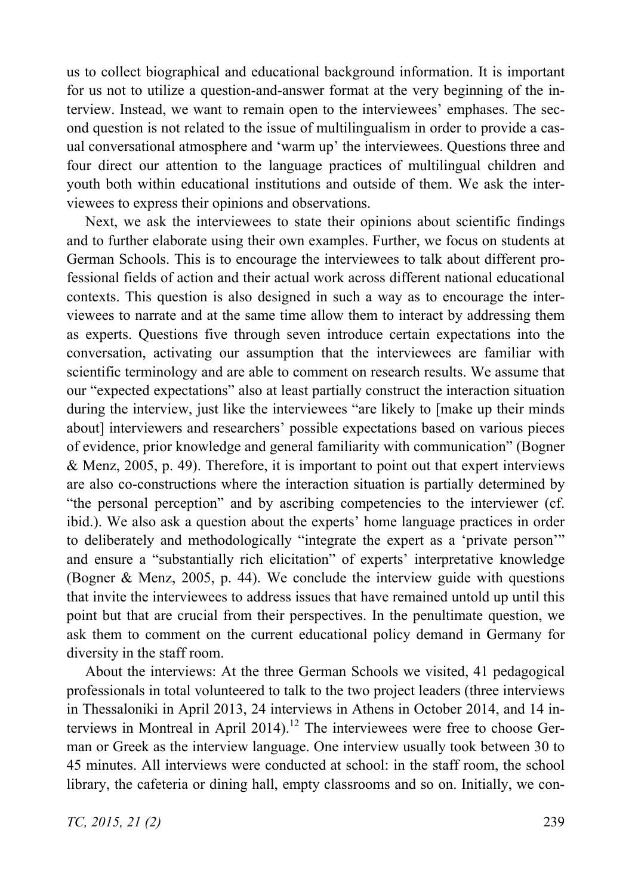us to collect biographical and educational background information. It is important for us not to utilize a question-and-answer format at the very beginning of the interview. Instead, we want to remain open to the interviewees' emphases. The second question is not related to the issue of multilingualism in order to provide a casual conversational atmosphere and 'warm up' the interviewees. Questions three and four direct our attention to the language practices of multilingual children and youth both within educational institutions and outside of them. We ask the interviewees to express their opinions and observations.

Next, we ask the interviewees to state their opinions about scientific findings and to further elaborate using their own examples. Further, we focus on students at German Schools. This is to encourage the interviewees to talk about different professional fields of action and their actual work across different national educational contexts. This question is also designed in such a way as to encourage the interviewees to narrate and at the same time allow them to interact by addressing them as experts. Questions five through seven introduce certain expectations into the conversation, activating our assumption that the interviewees are familiar with scientific terminology and are able to comment on research results. We assume that our "expected expectations" also at least partially construct the interaction situation during the interview, just like the interviewees "are likely to [make up their minds about] interviewers and researchers' possible expectations based on various pieces of evidence, prior knowledge and general familiarity with communication" (Bogner & Menz, 2005, p. 49). Therefore, it is important to point out that expert interviews are also co-constructions where the interaction situation is partially determined by "the personal perception" and by ascribing competencies to the interviewer (cf. ibid.). We also ask a question about the experts' home language practices in order to deliberately and methodologically "integrate the expert as a 'private person'" and ensure a "substantially rich elicitation" of experts' interpretative knowledge (Bogner & Menz, 2005, p. 44). We conclude the interview guide with questions that invite the interviewees to address issues that have remained untold up until this point but that are crucial from their perspectives. In the penultimate question, we ask them to comment on the current educational policy demand in Germany for diversity in the staff room.

About the interviews: At the three German Schools we visited, 41 pedagogical professionals in total volunteered to talk to the two project leaders (three interviews in Thessaloniki in April 2013, 24 interviews in Athens in October 2014, and 14 interviews in Montreal in April 2014).<sup>12</sup> The interviewees were free to choose German or Greek as the interview language. One interview usually took between 30 to 45 minutes. All interviews were conducted at school: in the staff room, the school library, the cafeteria or dining hall, empty classrooms and so on. Initially, we con-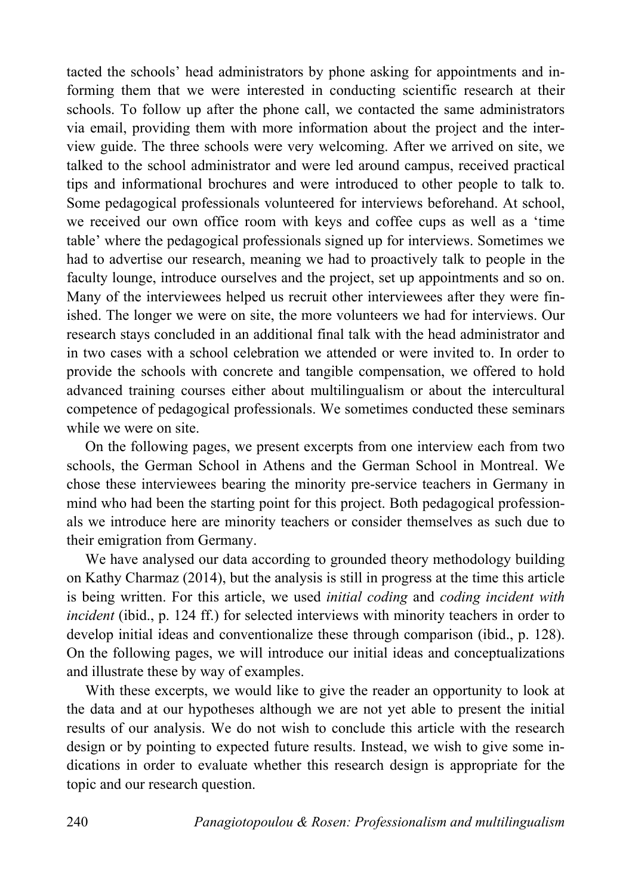tacted the schools' head administrators by phone asking for appointments and informing them that we were interested in conducting scientific research at their schools. To follow up after the phone call, we contacted the same administrators via email, providing them with more information about the project and the interview guide. The three schools were very welcoming. After we arrived on site, we talked to the school administrator and were led around campus, received practical tips and informational brochures and were introduced to other people to talk to. Some pedagogical professionals volunteered for interviews beforehand. At school, we received our own office room with keys and coffee cups as well as a 'time table' where the pedagogical professionals signed up for interviews. Sometimes we had to advertise our research, meaning we had to proactively talk to people in the faculty lounge, introduce ourselves and the project, set up appointments and so on. Many of the interviewees helped us recruit other interviewees after they were finished. The longer we were on site, the more volunteers we had for interviews. Our research stays concluded in an additional final talk with the head administrator and in two cases with a school celebration we attended or were invited to. In order to provide the schools with concrete and tangible compensation, we offered to hold advanced training courses either about multilingualism or about the intercultural competence of pedagogical professionals. We sometimes conducted these seminars while we were on site.

On the following pages, we present excerpts from one interview each from two schools, the German School in Athens and the German School in Montreal. We chose these interviewees bearing the minority pre-service teachers in Germany in mind who had been the starting point for this project. Both pedagogical professionals we introduce here are minority teachers or consider themselves as such due to their emigration from Germany.

We have analysed our data according to grounded theory methodology building on Kathy Charmaz (2014), but the analysis is still in progress at the time this article is being written. For this article, we used *initial coding* and *coding incident with incident* (ibid., p. 124 ff.) for selected interviews with minority teachers in order to develop initial ideas and conventionalize these through comparison (ibid., p. 128). On the following pages, we will introduce our initial ideas and conceptualizations and illustrate these by way of examples.

With these excerpts, we would like to give the reader an opportunity to look at the data and at our hypotheses although we are not yet able to present the initial results of our analysis. We do not wish to conclude this article with the research design or by pointing to expected future results. Instead, we wish to give some indications in order to evaluate whether this research design is appropriate for the topic and our research question.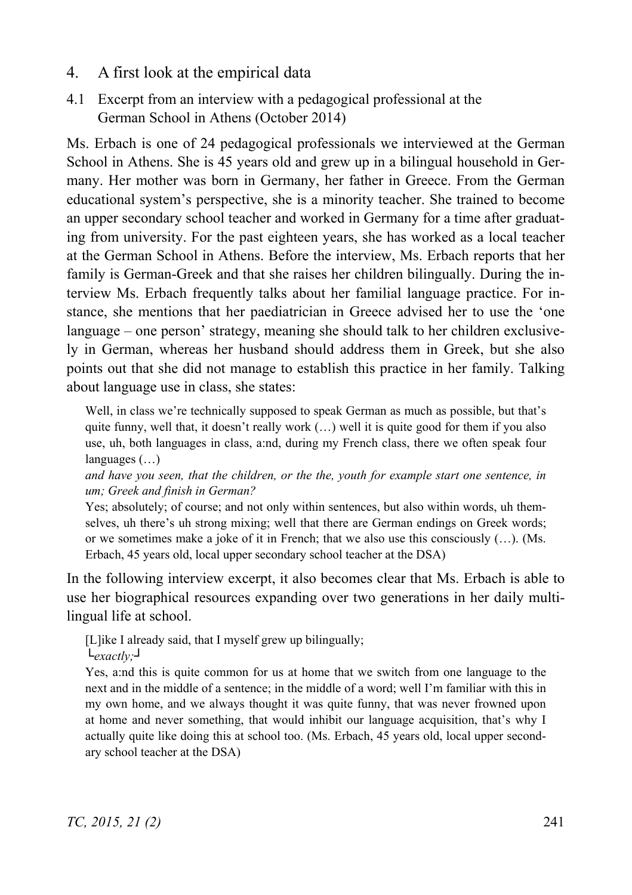- 4. A first look at the empirical data
- 4.1 Excerpt from an interview with a pedagogical professional at the German School in Athens (October 2014)

Ms. Erbach is one of 24 pedagogical professionals we interviewed at the German School in Athens. She is 45 years old and grew up in a bilingual household in Germany. Her mother was born in Germany, her father in Greece. From the German educational system's perspective, she is a minority teacher. She trained to become an upper secondary school teacher and worked in Germany for a time after graduating from university. For the past eighteen years, she has worked as a local teacher at the German School in Athens. Before the interview, Ms. Erbach reports that her family is German-Greek and that she raises her children bilingually. During the interview Ms. Erbach frequently talks about her familial language practice. For instance, she mentions that her paediatrician in Greece advised her to use the 'one language – one person' strategy, meaning she should talk to her children exclusively in German, whereas her husband should address them in Greek, but she also points out that she did not manage to establish this practice in her family. Talking about language use in class, she states:

Well, in class we're technically supposed to speak German as much as possible, but that's quite funny, well that, it doesn't really work  $(\ldots)$  well it is quite good for them if you also use, uh, both languages in class, a:nd, during my French class, there we often speak four languages (…)

*and have you seen, that the children, or the the, youth for example start one sentence, in um; Greek and finish in German?* 

Yes; absolutely; of course; and not only within sentences, but also within words, uh themselves, uh there's uh strong mixing; well that there are German endings on Greek words; or we sometimes make a joke of it in French; that we also use this consciously (…). (Ms. Erbach, 45 years old, local upper secondary school teacher at the DSA)

In the following interview excerpt, it also becomes clear that Ms. Erbach is able to use her biographical resources expanding over two generations in her daily multilingual life at school.

[L]ike I already said, that I myself grew up bilingually;

 $L_{\text{exact}}|_{V}$ 

Yes, a:nd this is quite common for us at home that we switch from one language to the next and in the middle of a sentence; in the middle of a word; well I'm familiar with this in my own home, and we always thought it was quite funny, that was never frowned upon at home and never something, that would inhibit our language acquisition, that's why I actually quite like doing this at school too. (Ms. Erbach, 45 years old, local upper secondary school teacher at the DSA)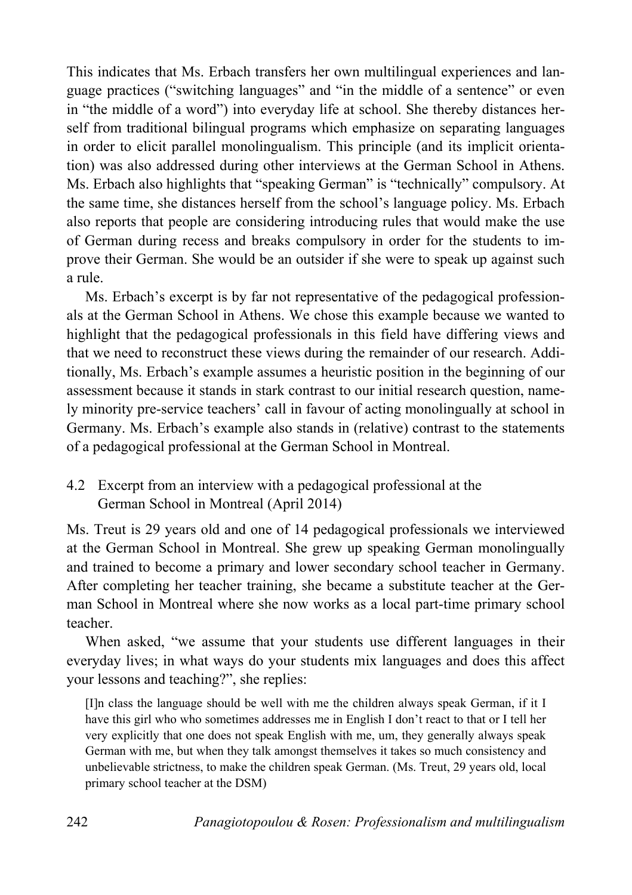This indicates that Ms. Erbach transfers her own multilingual experiences and language practices ("switching languages" and "in the middle of a sentence" or even in "the middle of a word") into everyday life at school. She thereby distances herself from traditional bilingual programs which emphasize on separating languages in order to elicit parallel monolingualism. This principle (and its implicit orientation) was also addressed during other interviews at the German School in Athens. Ms. Erbach also highlights that "speaking German" is "technically" compulsory. At the same time, she distances herself from the school's language policy. Ms. Erbach also reports that people are considering introducing rules that would make the use of German during recess and breaks compulsory in order for the students to improve their German. She would be an outsider if she were to speak up against such a rule.

Ms. Erbach's excerpt is by far not representative of the pedagogical professionals at the German School in Athens. We chose this example because we wanted to highlight that the pedagogical professionals in this field have differing views and that we need to reconstruct these views during the remainder of our research. Additionally, Ms. Erbach's example assumes a heuristic position in the beginning of our assessment because it stands in stark contrast to our initial research question, namely minority pre-service teachers' call in favour of acting monolingually at school in Germany. Ms. Erbach's example also stands in (relative) contrast to the statements of a pedagogical professional at the German School in Montreal.

4.2 Excerpt from an interview with a pedagogical professional at the German School in Montreal (April 2014)

Ms. Treut is 29 years old and one of 14 pedagogical professionals we interviewed at the German School in Montreal. She grew up speaking German monolingually and trained to become a primary and lower secondary school teacher in Germany. After completing her teacher training, she became a substitute teacher at the German School in Montreal where she now works as a local part-time primary school teacher.

When asked, "we assume that your students use different languages in their everyday lives; in what ways do your students mix languages and does this affect your lessons and teaching?", she replies:

[I]n class the language should be well with me the children always speak German, if it I have this girl who who sometimes addresses me in English I don't react to that or I tell her very explicitly that one does not speak English with me, um, they generally always speak German with me, but when they talk amongst themselves it takes so much consistency and unbelievable strictness, to make the children speak German. (Ms. Treut, 29 years old, local primary school teacher at the DSM)

242 *Panagiotopoulou & Rosen: Professionalism and multilingualism*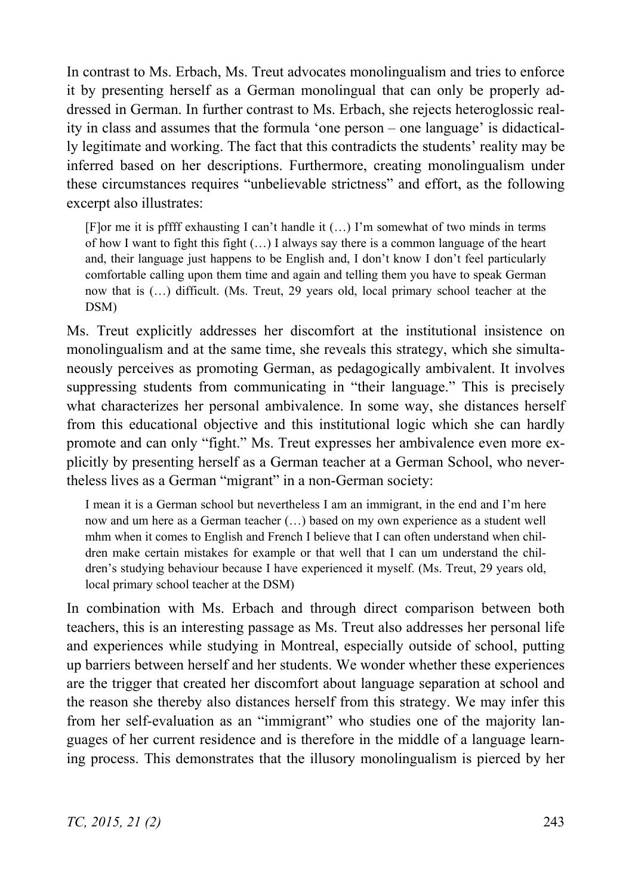In contrast to Ms. Erbach, Ms. Treut advocates monolingualism and tries to enforce it by presenting herself as a German monolingual that can only be properly addressed in German. In further contrast to Ms. Erbach, she rejects heteroglossic reality in class and assumes that the formula 'one person – one language' is didactically legitimate and working. The fact that this contradicts the students' reality may be inferred based on her descriptions. Furthermore, creating monolingualism under these circumstances requires "unbelievable strictness" and effort, as the following excerpt also illustrates:

[F]or me it is pffff exhausting I can't handle it (…) I'm somewhat of two minds in terms of how I want to fight this fight (…) I always say there is a common language of the heart and, their language just happens to be English and, I don't know I don't feel particularly comfortable calling upon them time and again and telling them you have to speak German now that is (…) difficult. (Ms. Treut, 29 years old, local primary school teacher at the DSM)

Ms. Treut explicitly addresses her discomfort at the institutional insistence on monolingualism and at the same time, she reveals this strategy, which she simultaneously perceives as promoting German, as pedagogically ambivalent. It involves suppressing students from communicating in "their language." This is precisely what characterizes her personal ambivalence. In some way, she distances herself from this educational objective and this institutional logic which she can hardly promote and can only "fight." Ms. Treut expresses her ambivalence even more explicitly by presenting herself as a German teacher at a German School, who nevertheless lives as a German "migrant" in a non-German society:

I mean it is a German school but nevertheless I am an immigrant, in the end and I'm here now and um here as a German teacher (…) based on my own experience as a student well mhm when it comes to English and French I believe that I can often understand when children make certain mistakes for example or that well that I can um understand the children's studying behaviour because I have experienced it myself. (Ms. Treut, 29 years old, local primary school teacher at the DSM)

In combination with Ms. Erbach and through direct comparison between both teachers, this is an interesting passage as Ms. Treut also addresses her personal life and experiences while studying in Montreal, especially outside of school, putting up barriers between herself and her students. We wonder whether these experiences are the trigger that created her discomfort about language separation at school and the reason she thereby also distances herself from this strategy. We may infer this from her self-evaluation as an "immigrant" who studies one of the majority languages of her current residence and is therefore in the middle of a language learning process. This demonstrates that the illusory monolingualism is pierced by her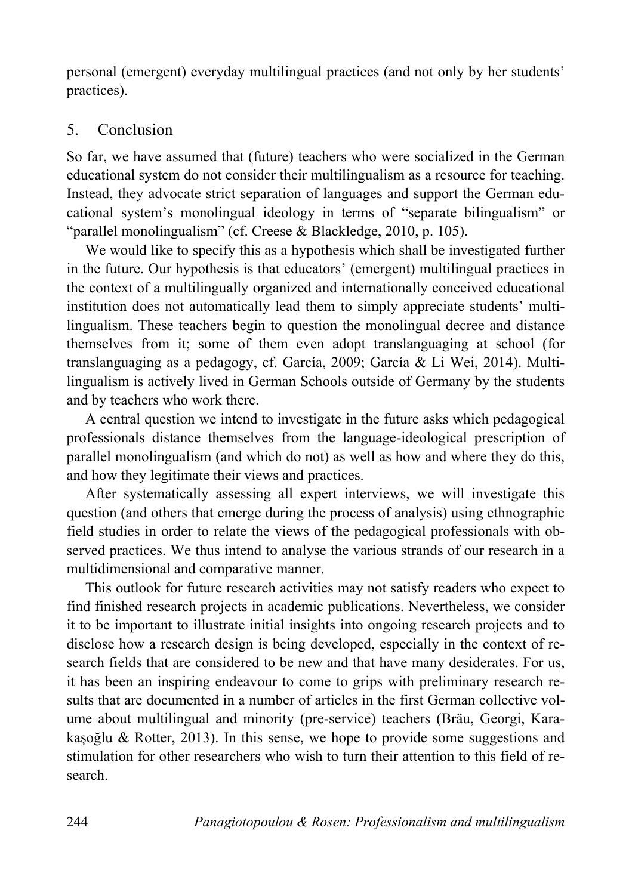personal (emergent) everyday multilingual practices (and not only by her students' practices).

## 5. Conclusion

So far, we have assumed that (future) teachers who were socialized in the German educational system do not consider their multilingualism as a resource for teaching. Instead, they advocate strict separation of languages and support the German educational system's monolingual ideology in terms of "separate bilingualism" or "parallel monolingualism" (cf. Creese & Blackledge, 2010, p. 105).

We would like to specify this as a hypothesis which shall be investigated further in the future. Our hypothesis is that educators' (emergent) multilingual practices in the context of a multilingually organized and internationally conceived educational institution does not automatically lead them to simply appreciate students' multilingualism. These teachers begin to question the monolingual decree and distance themselves from it; some of them even adopt translanguaging at school (for translanguaging as a pedagogy, cf. García, 2009; García & Li Wei, 2014). Multilingualism is actively lived in German Schools outside of Germany by the students and by teachers who work there.

A central question we intend to investigate in the future asks which pedagogical professionals distance themselves from the language-ideological prescription of parallel monolingualism (and which do not) as well as how and where they do this, and how they legitimate their views and practices.

After systematically assessing all expert interviews, we will investigate this question (and others that emerge during the process of analysis) using ethnographic field studies in order to relate the views of the pedagogical professionals with observed practices. We thus intend to analyse the various strands of our research in a multidimensional and comparative manner.

This outlook for future research activities may not satisfy readers who expect to find finished research projects in academic publications. Nevertheless, we consider it to be important to illustrate initial insights into ongoing research projects and to disclose how a research design is being developed, especially in the context of research fields that are considered to be new and that have many desiderates. For us, it has been an inspiring endeavour to come to grips with preliminary research results that are documented in a number of articles in the first German collective volume about multilingual and minority (pre-service) teachers (Bräu, Georgi, Karakasoğlu & Rotter, 2013). In this sense, we hope to provide some suggestions and stimulation for other researchers who wish to turn their attention to this field of research.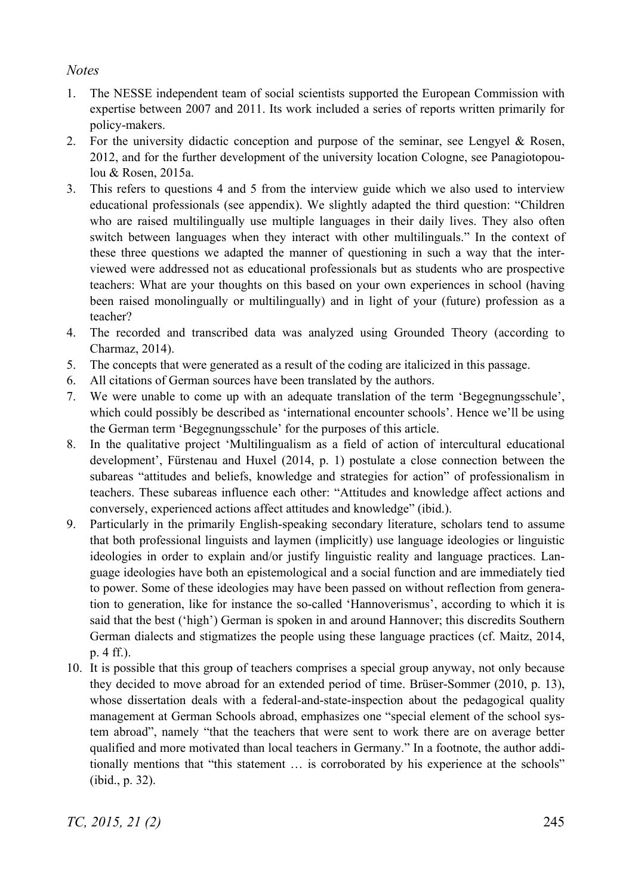#### *Notes*

- 1. The NESSE independent team of social scientists supported the European Commission with expertise between 2007 and 2011. Its work included a series of reports written primarily for policy-makers.
- 2. For the university didactic conception and purpose of the seminar, see Lengyel  $\&$  Rosen, 2012, and for the further development of the university location Cologne, see Panagiotopoulou & Rosen, 2015a.
- 3. This refers to questions 4 and 5 from the interview guide which we also used to interview educational professionals (see appendix). We slightly adapted the third question: "Children who are raised multilingually use multiple languages in their daily lives. They also often switch between languages when they interact with other multilinguals." In the context of these three questions we adapted the manner of questioning in such a way that the interviewed were addressed not as educational professionals but as students who are prospective teachers: What are your thoughts on this based on your own experiences in school (having been raised monolingually or multilingually) and in light of your (future) profession as a teacher?
- 4. The recorded and transcribed data was analyzed using Grounded Theory (according to Charmaz, 2014).
- 5. The concepts that were generated as a result of the coding are italicized in this passage.
- 6. All citations of German sources have been translated by the authors.
- 7. We were unable to come up with an adequate translation of the term 'Begegnungsschule', which could possibly be described as 'international encounter schools'. Hence we'll be using the German term 'Begegnungsschule' for the purposes of this article.
- 8. In the qualitative project 'Multilingualism as a field of action of intercultural educational development', Fürstenau and Huxel (2014, p. 1) postulate a close connection between the subareas "attitudes and beliefs, knowledge and strategies for action" of professionalism in teachers. These subareas influence each other: "Attitudes and knowledge affect actions and conversely, experienced actions affect attitudes and knowledge" (ibid.).
- 9. Particularly in the primarily English-speaking secondary literature, scholars tend to assume that both professional linguists and laymen (implicitly) use language ideologies or linguistic ideologies in order to explain and/or justify linguistic reality and language practices. Language ideologies have both an epistemological and a social function and are immediately tied to power. Some of these ideologies may have been passed on without reflection from generation to generation, like for instance the so-called 'Hannoverismus', according to which it is said that the best ('high') German is spoken in and around Hannover; this discredits Southern German dialects and stigmatizes the people using these language practices (cf. Maitz, 2014, p. 4 ff.).
- 10. It is possible that this group of teachers comprises a special group anyway, not only because they decided to move abroad for an extended period of time. Brüser-Sommer (2010, p. 13), whose dissertation deals with a federal-and-state-inspection about the pedagogical quality management at German Schools abroad, emphasizes one "special element of the school system abroad", namely "that the teachers that were sent to work there are on average better qualified and more motivated than local teachers in Germany." In a footnote, the author additionally mentions that "this statement … is corroborated by his experience at the schools" (ibid., p. 32).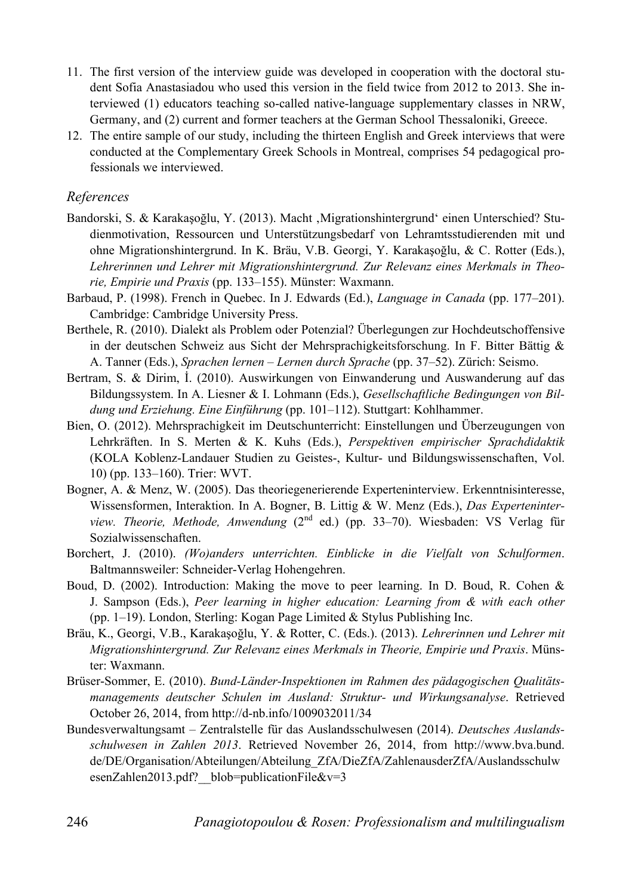- 11. The first version of the interview guide was developed in cooperation with the doctoral student Sofia Anastasiadou who used this version in the field twice from 2012 to 2013. She interviewed (1) educators teaching so-called native-language supplementary classes in NRW, Germany, and (2) current and former teachers at the German School Thessaloniki, Greece.
- 12. The entire sample of our study, including the thirteen English and Greek interviews that were conducted at the Complementary Greek Schools in Montreal, comprises 54 pedagogical professionals we interviewed.

#### *References*

- Bandorski, S. & Karakasoğlu, Y. (2013). Macht , Migrationshintergrund' einen Unterschied? Studienmotivation, Ressourcen und Unterstützungsbedarf von Lehramtsstudierenden mit und ohne Migrationshintergrund. In K. Bräu, V.B. Georgi, Y. Karakaşoğlu, & C. Rotter (Eds.), *Lehrerinnen und Lehrer mit Migrationshintergrund. Zur Relevanz eines Merkmals in Theorie, Empirie und Praxis* (pp. 133–155). Münster: Waxmann.
- Barbaud, P. (1998). French in Quebec. In J. Edwards (Ed.), *Language in Canada* (pp. 177–201). Cambridge: Cambridge University Press.
- Berthele, R. (2010). Dialekt als Problem oder Potenzial? Überlegungen zur Hochdeutschoffensive in der deutschen Schweiz aus Sicht der Mehrsprachigkeitsforschung. In F. Bitter Bättig & A. Tanner (Eds.), *Sprachen lernen – Lernen durch Sprache* (pp. 37–52). Zürich: Seismo.
- Bertram, S. & Dirim, I. (2010). Auswirkungen von Einwanderung und Auswanderung auf das Bildungssystem. In A. Liesner & I. Lohmann (Eds.), *Gesellschaftliche Bedingungen von Bildung und Erziehung. Eine Einführung* (pp. 101–112). Stuttgart: Kohlhammer.
- Bien, O. (2012). Mehrsprachigkeit im Deutschunterricht: Einstellungen und Überzeugungen von Lehrkräften. In S. Merten & K. Kuhs (Eds.), *Perspektiven empirischer Sprachdidaktik* (KOLA Koblenz-Landauer Studien zu Geistes-, Kultur- und Bildungswissenschaften, Vol. 10) (pp. 133–160). Trier: WVT.
- Bogner, A. & Menz, W. (2005). Das theoriegenerierende Experteninterview. Erkenntnisinteresse, Wissensformen, Interaktion. In A. Bogner, B. Littig & W. Menz (Eds.), *Das Experteninterview. Theorie, Methode, Anwendung* (2nd ed.) (pp. 33–70). Wiesbaden: VS Verlag für Sozialwissenschaften.
- Borchert, J. (2010). *(Wo)anders unterrichten. Einblicke in die Vielfalt von Schulformen*. Baltmannsweiler: Schneider-Verlag Hohengehren.
- Boud, D. (2002). Introduction: Making the move to peer learning. In D. Boud, R. Cohen & J. Sampson (Eds.), *Peer learning in higher education: Learning from & with each other* (pp. 1–19). London, Sterling: Kogan Page Limited & Stylus Publishing Inc.
- Bräu, K., Georgi, V.B., Karakaşoğlu, Y. & Rotter, C. (Eds.). (2013). *Lehrerinnen und Lehrer mit Migrationshintergrund. Zur Relevanz eines Merkmals in Theorie, Empirie und Praxis*. Münster: Waxmann.
- Brüser-Sommer, E. (2010). *Bund-Länder-Inspektionen im Rahmen des pädagogischen Qualitätsmanagements deutscher Schulen im Ausland: Struktur- und Wirkungsanalyse*. Retrieved October 26, 2014, from http://d-nb.info/1009032011/34
- Bundesverwaltungsamt Zentralstelle für das Auslandsschulwesen (2014). *Deutsches Auslandsschulwesen in Zahlen 2013*. Retrieved November 26, 2014, from http://www.bva.bund. de/DE/Organisation/Abteilungen/Abteilung\_ZfA/DieZfA/ZahlenausderZfA/Auslandsschulw esenZahlen2013.pdf? blob=publicationFile&v=3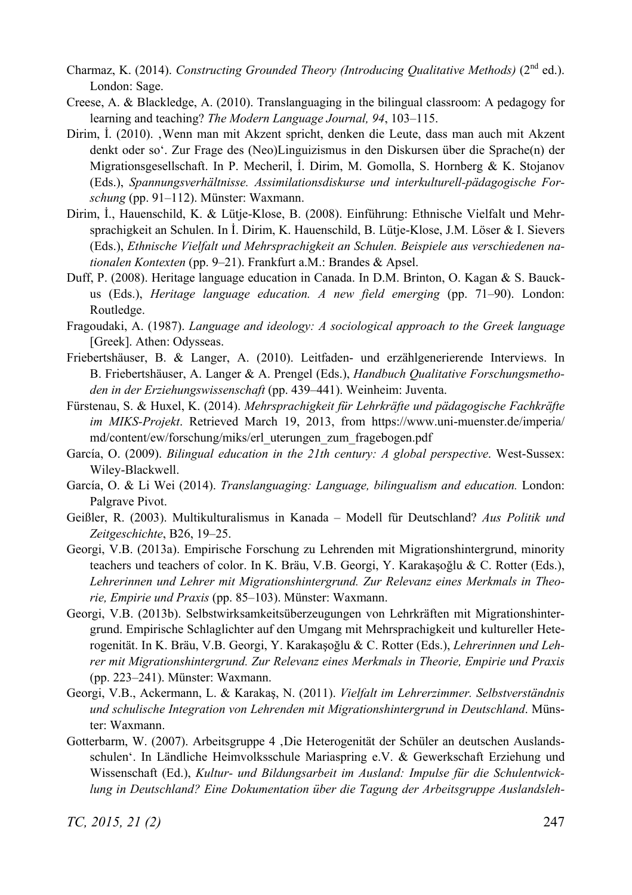- Charmaz, K. (2014). *Constructing Grounded Theory (Introducing Oualitative Methods)* ( $2<sup>nd</sup>$  ed.). London: Sage.
- Creese, A. & Blackledge, A. (2010). Translanguaging in the bilingual classroom: A pedagogy for learning and teaching? *The Modern Language Journal, 94*, 103–115.
- Dirim, I. (2010). Wenn man mit Akzent spricht, denken die Leute, dass man auch mit Akzent denkt oder so'. Zur Frage des (Neo)Linguizismus in den Diskursen über die Sprache(n) der Migrationsgesellschaft. In P. Mecheril, I. Dirim, M. Gomolla, S. Hornberg & K. Stojanov (Eds.), *Spannungsverhältnisse. Assimilationsdiskurse und interkulturell-pädagogische Forschung* (pp. 91–112). Münster: Waxmann.
- Dirim, İ., Hauenschild, K. & Lütje-Klose, B. (2008). Einführung: Ethnische Vielfalt und Mehrsprachigkeit an Schulen. In I. Dirim, K. Hauenschild, B. Lütje-Klose, J.M. Löser & I. Sievers (Eds.), *Ethnische Vielfalt und Mehrsprachigkeit an Schulen. Beispiele aus verschiedenen nationalen Kontexten* (pp. 9–21). Frankfurt a.M.: Brandes & Apsel.
- Duff, P. (2008). Heritage language education in Canada. In D.M. Brinton, O. Kagan & S. Bauckus (Eds.), *Heritage language education. A new field emerging* (pp. 71–90). London: Routledge.
- Fragoudaki, A. (1987). *Language and ideology: A sociological approach to the Greek language* [Greek]. Athen: Odysseas.
- Friebertshäuser, B. & Langer, A. (2010). Leitfaden- und erzählgenerierende Interviews. In B. Friebertshäuser, A. Langer & A. Prengel (Eds.), *Handbuch Qualitative Forschungsmethoden in der Erziehungswissenschaft* (pp. 439–441). Weinheim: Juventa.
- Fürstenau, S. & Huxel, K. (2014). *Mehrsprachigkeit für Lehrkräfte und pädagogische Fachkräfte im MIKS-Projekt*. Retrieved March 19, 2013, from https://www.uni-muenster.de/imperia/ md/content/ew/forschung/miks/erl\_uterungen\_zum\_fragebogen.pdf
- García, O. (2009). *Bilingual education in the 21th century: A global perspective*. West-Sussex: Wiley-Blackwell.
- García, O. & Li Wei (2014). *Translanguaging: Language, bilingualism and education.* London: Palgrave Pivot.
- Geißler, R. (2003). Multikulturalismus in Kanada Modell für Deutschland? *Aus Politik und Zeitgeschichte*, B26, 19–25.
- Georgi, V.B. (2013a). Empirische Forschung zu Lehrenden mit Migrationshintergrund, minority teachers und teachers of color. In K. Bräu, V.B. Georgi, Y. Karakasoğlu & C. Rotter (Eds.), *Lehrerinnen und Lehrer mit Migrationshintergrund. Zur Relevanz eines Merkmals in Theorie, Empirie und Praxis* (pp. 85–103). Münster: Waxmann.
- Georgi, V.B. (2013b). Selbstwirksamkeitsüberzeugungen von Lehrkräften mit Migrationshintergrund. Empirische Schlaglichter auf den Umgang mit Mehrsprachigkeit und kultureller Heterogenität. In K. Bräu, V.B. Georgi, Y. Karakasoğlu & C. Rotter (Eds.), *Lehrerinnen und Lehrer mit Migrationshintergrund. Zur Relevanz eines Merkmals in Theorie, Empirie und Praxis*  (pp. 223–241). Münster: Waxmann.
- Georgi, V.B., Ackermann, L. & Karakaş, N. (2011). *Vielfalt im Lehrerzimmer. Selbstverständnis und schulische Integration von Lehrenden mit Migrationshintergrund in Deutschland*. Münster: Waxmann.
- Gotterbarm, W. (2007). Arbeitsgruppe 4 .Die Heterogenität der Schüler an deutschen Auslandsschulen'. In Ländliche Heimvolksschule Mariaspring e.V. & Gewerkschaft Erziehung und Wissenschaft (Ed.), *Kultur- und Bildungsarbeit im Ausland: Impulse für die Schulentwicklung in Deutschland? Eine Dokumentation über die Tagung der Arbeitsgruppe Auslandsleh-*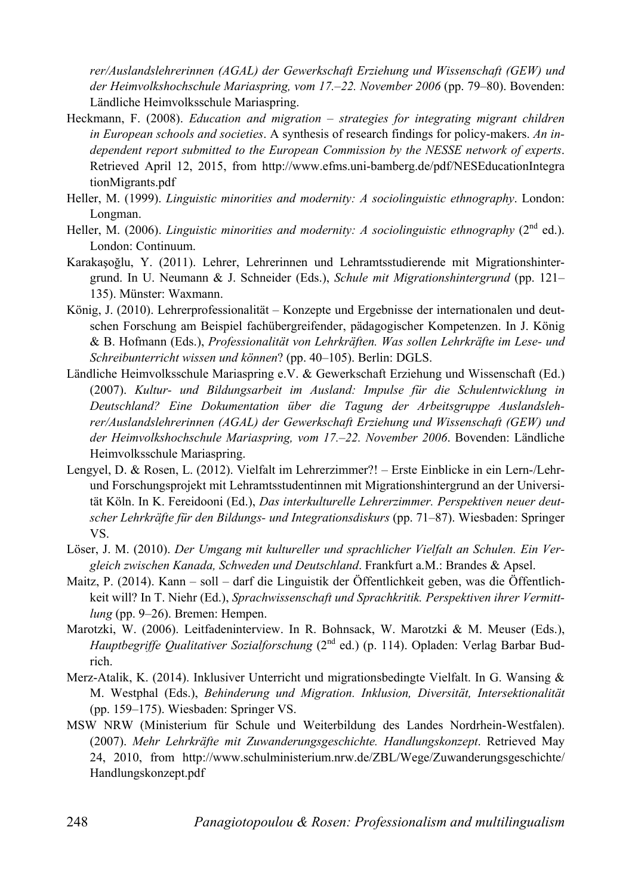*rer/Auslandslehrerinnen (AGAL) der Gewerkschaft Erziehung und Wissenschaft (GEW) und der Heimvolkshochschule Mariaspring, vom 17.–22. November 2006* (pp. 79–80). Bovenden: Ländliche Heimvolksschule Mariaspring.

- Heckmann, F. (2008). *Education and migration strategies for integrating migrant children in European schools and societies*. A synthesis of research findings for policy-makers. *An independent report submitted to the European Commission by the NESSE network of experts*. Retrieved April 12, 2015, from http://www.efms.uni-bamberg.de/pdf/NESEducationIntegra tionMigrants.pdf
- Heller, M. (1999). *Linguistic minorities and modernity: A sociolinguistic ethnography*. London: Longman.
- Heller, M. (2006). *Linguistic minorities and modernity: A sociolinguistic ethnography* (2<sup>nd</sup> ed.). London: Continuum.
- Karakasoğlu, Y. (2011). Lehrer, Lehrerinnen und Lehramtsstudierende mit Migrationshintergrund. In U. Neumann & J. Schneider (Eds.), *Schule mit Migrationshintergrund* (pp. 121– 135). Münster: Waxmann.
- König, J. (2010). Lehrerprofessionalität Konzepte und Ergebnisse der internationalen und deutschen Forschung am Beispiel fachübergreifender, pädagogischer Kompetenzen. In J. König & B. Hofmann (Eds.), *Professionalität von Lehrkräften. Was sollen Lehrkräfte im Lese- und Schreibunterricht wissen und können*? (pp. 40–105). Berlin: DGLS.
- Ländliche Heimvolksschule Mariaspring e.V. & Gewerkschaft Erziehung und Wissenschaft (Ed.) (2007). *Kultur- und Bildungsarbeit im Ausland: Impulse für die Schulentwicklung in Deutschland? Eine Dokumentation über die Tagung der Arbeitsgruppe Auslandslehrer/Auslandslehrerinnen (AGAL) der Gewerkschaft Erziehung und Wissenschaft (GEW) und der Heimvolkshochschule Mariaspring, vom 17.–22. November 2006*. Bovenden: Ländliche Heimvolksschule Mariaspring.
- Lengyel, D. & Rosen, L. (2012). Vielfalt im Lehrerzimmer?! Erste Einblicke in ein Lern-/Lehrund Forschungsprojekt mit Lehramtsstudentinnen mit Migrationshintergrund an der Universität Köln. In K. Fereidooni (Ed.), *Das interkulturelle Lehrerzimmer. Perspektiven neuer deutscher Lehrkräfte für den Bildungs- und Integrationsdiskurs* (pp. 71–87). Wiesbaden: Springer VS.
- Löser, J. M. (2010). *Der Umgang mit kultureller und sprachlicher Vielfalt an Schulen. Ein Vergleich zwischen Kanada, Schweden und Deutschland*. Frankfurt a.M.: Brandes & Apsel.
- Maitz, P. (2014). Kann soll darf die Linguistik der Öffentlichkeit geben, was die Öffentlichkeit will? In T. Niehr (Ed.), *Sprachwissenschaft und Sprachkritik. Perspektiven ihrer Vermittlung* (pp. 9–26). Bremen: Hempen.
- Marotzki, W. (2006). Leitfadeninterview. In R. Bohnsack, W. Marotzki & M. Meuser (Eds.), *Hauptbegriffe Qualitativer Sozialforschung* (2<sup>nd</sup> ed.) (p. 114). Opladen: Verlag Barbar Budrich.
- Merz-Atalik, K. (2014). Inklusiver Unterricht und migrationsbedingte Vielfalt. In G. Wansing & M. Westphal (Eds.), *Behinderung und Migration. Inklusion, Diversität, Intersektionalität* (pp. 159–175). Wiesbaden: Springer VS.
- MSW NRW (Ministerium für Schule und Weiterbildung des Landes Nordrhein-Westfalen). (2007). *Mehr Lehrkräfte mit Zuwanderungsgeschichte. Handlungskonzept*. Retrieved May 24, 2010, from http://www.schulministerium.nrw.de/ZBL/Wege/Zuwanderungsgeschichte/ Handlungskonzept.pdf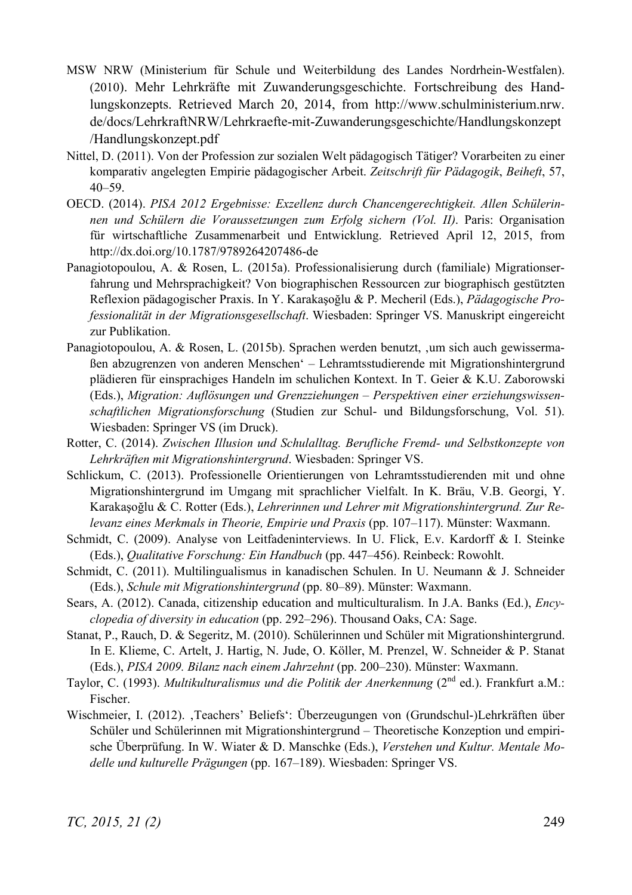- MSW NRW (Ministerium für Schule und Weiterbildung des Landes Nordrhein-Westfalen). (2010). Mehr Lehrkräfte mit Zuwanderungsgeschichte. Fortschreibung des Handlungskonzepts. Retrieved March 20, 2014, from http://www.schulministerium.nrw. de/docs/LehrkraftNRW/Lehrkraefte-mit-Zuwanderungsgeschichte/Handlungskonzept /Handlungskonzept.pdf
- Nittel, D. (2011). Von der Profession zur sozialen Welt pädagogisch Tätiger? Vorarbeiten zu einer komparativ angelegten Empirie pädagogischer Arbeit. *Zeitschrift für Pädagogik*, *Beiheft*, 57, 40–59.
- OECD. (2014). *PISA 2012 Ergebnisse: Exzellenz durch Chancengerechtigkeit. Allen Schülerinnen und Schülern die Voraussetzungen zum Erfolg sichern (Vol. II)*. Paris: Organisation für wirtschaftliche Zusammenarbeit und Entwicklung. Retrieved April 12, 2015, from http://dx.doi.org/10.1787/9789264207486-de
- Panagiotopoulou, A. & Rosen, L. (2015a). Professionalisierung durch (familiale) Migrationserfahrung und Mehrsprachigkeit? Von biographischen Ressourcen zur biographisch gestützten Reflexion pädagogischer Praxis. In Y. Karakasoğlu & P. Mecheril (Eds.), *Pädagogische Professionalität in der Migrationsgesellschaft*. Wiesbaden: Springer VS. Manuskript eingereicht zur Publikation.
- Panagiotopoulou, A. & Rosen, L. (2015b). Sprachen werden benutzt, um sich auch gewissermaßen abzugrenzen von anderen Menschen' – Lehramtsstudierende mit Migrationshintergrund plädieren für einsprachiges Handeln im schulichen Kontext. In T. Geier & K.U. Zaborowski (Eds.), *Migration: Auflösungen und Grenzziehungen – Perspektiven einer erziehungswissenschaftlichen Migrationsforschung* (Studien zur Schul- und Bildungsforschung, Vol. 51). Wiesbaden: Springer VS (im Druck).
- Rotter, C. (2014). *Zwischen Illusion und Schulalltag. Berufliche Fremd- und Selbstkonzepte von Lehrkräften mit Migrationshintergrund*. Wiesbaden: Springer VS.
- Schlickum, C. (2013). Professionelle Orientierungen von Lehramtsstudierenden mit und ohne Migrationshintergrund im Umgang mit sprachlicher Vielfalt. In K. Bräu, V.B. Georgi, Y. Karakaşoğlu & C. Rotter (Eds.), *Lehrerinnen und Lehrer mit Migrationshintergrund. Zur Relevanz eines Merkmals in Theorie, Empirie und Praxis* (pp. 107–117). Münster: Waxmann.
- Schmidt, C. (2009). Analyse von Leitfadeninterviews. In U. Flick, E.v. Kardorff & I. Steinke (Eds.), *Qualitative Forschung: Ein Handbuch* (pp. 447–456). Reinbeck: Rowohlt.
- Schmidt, C. (2011). Multilingualismus in kanadischen Schulen. In U. Neumann & J. Schneider (Eds.), *Schule mit Migrationshintergrund* (pp. 80–89). Münster: Waxmann.
- Sears, A. (2012). Canada, citizenship education and multiculturalism. In J.A. Banks (Ed.), *Encyclopedia of diversity in education* (pp. 292–296). Thousand Oaks, CA: Sage.
- Stanat, P., Rauch, D. & Segeritz, M. (2010). Schülerinnen und Schüler mit Migrationshintergrund. In E. Klieme, C. Artelt, J. Hartig, N. Jude, O. Köller, M. Prenzel, W. Schneider & P. Stanat (Eds.), *PISA 2009. Bilanz nach einem Jahrzehnt* (pp. 200–230). Münster: Waxmann.
- Taylor, C. (1993). *Multikulturalismus und die Politik der Anerkennung* (2<sup>nd</sup> ed.). Frankfurt a.M.: Fischer.
- Wischmeier, I. (2012). 'Teachers' Beliefs': Überzeugungen von (Grundschul-)Lehrkräften über Schüler und Schülerinnen mit Migrationshintergrund – Theoretische Konzeption und empirische Überprüfung. In W. Wiater & D. Manschke (Eds.), *Verstehen und Kultur. Mentale Modelle und kulturelle Prägungen* (pp. 167–189). Wiesbaden: Springer VS.